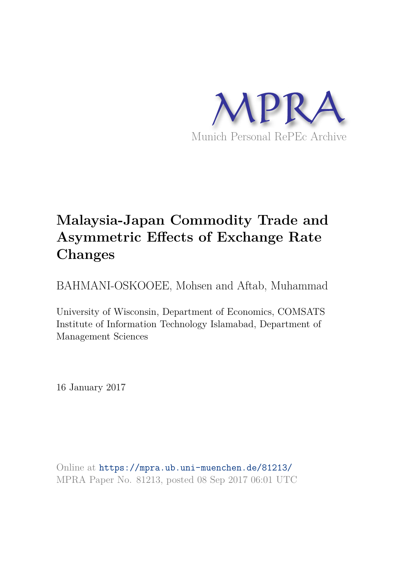

# **Malaysia-Japan Commodity Trade and Asymmetric Effects of Exchange Rate Changes**

BAHMANI-OSKOOEE, Mohsen and Aftab, Muhammad

University of Wisconsin, Department of Economics, COMSATS Institute of Information Technology Islamabad, Department of Management Sciences

16 January 2017

Online at https://mpra.ub.uni-muenchen.de/81213/ MPRA Paper No. 81213, posted 08 Sep 2017 06:01 UTC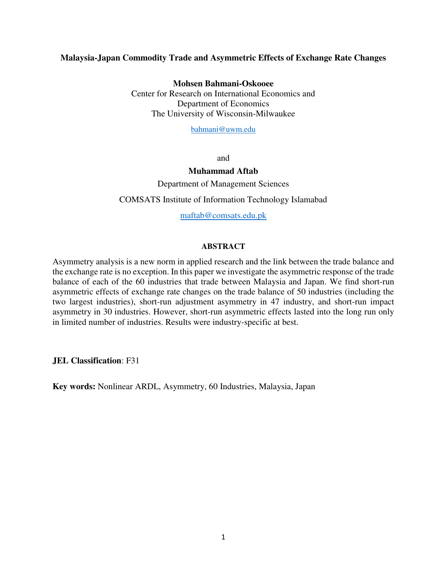## **Malaysia-Japan Commodity Trade and Asymmetric Effects of Exchange Rate Changes**

**Mohsen Bahmani-Oskooee**

Center for Research on International Economics and Department of Economics The University of Wisconsin-Milwaukee

[bahmani@uwm.edu](mailto:bahmani@uwm.edu)

and

#### **Muhammad Aftab**

Department of Management Sciences

COMSATS Institute of Information Technology Islamabad

[maftab@comsats.edu.pk](mailto:maftab@comsats.edu.pk)

#### **ABSTRACT**

Asymmetry analysis is a new norm in applied research and the link between the trade balance and the exchange rate is no exception. In this paper we investigate the asymmetric response of the trade balance of each of the 60 industries that trade between Malaysia and Japan. We find short-run asymmetric effects of exchange rate changes on the trade balance of 50 industries (including the two largest industries), short-run adjustment asymmetry in 47 industry, and short-run impact asymmetry in 30 industries. However, short-run asymmetric effects lasted into the long run only in limited number of industries. Results were industry-specific at best.

**JEL Classification**: F31

**Key words:** Nonlinear ARDL, Asymmetry, 60 Industries, Malaysia, Japan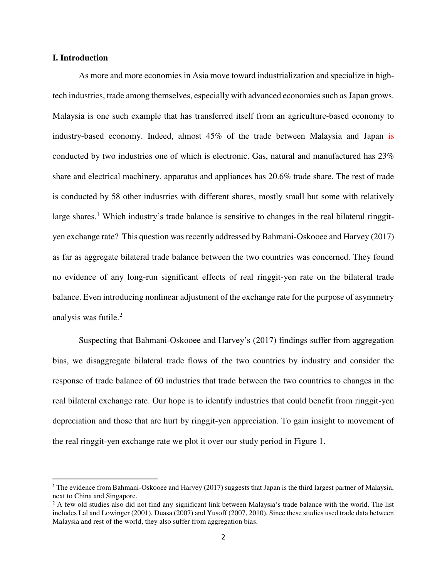#### **I. Introduction**

 $\overline{a}$ 

 As more and more economies in Asia move toward industrialization and specialize in hightech industries, trade among themselves, especially with advanced economies such as Japan grows. Malaysia is one such example that has transferred itself from an agriculture-based economy to industry-based economy. Indeed, almost 45% of the trade between Malaysia and Japan is conducted by two industries one of which is electronic. Gas, natural and manufactured has 23% share and electrical machinery, apparatus and appliances has 20.6% trade share. The rest of trade is conducted by 58 other industries with different shares, mostly small but some with relatively large shares.<sup>1</sup> Which industry's trade balance is sensitive to changes in the real bilateral ringgityen exchange rate? This question was recently addressed by Bahmani-Oskooee and Harvey (2017) as far as aggregate bilateral trade balance between the two countries was concerned. They found no evidence of any long-run significant effects of real ringgit-yen rate on the bilateral trade balance. Even introducing nonlinear adjustment of the exchange rate for the purpose of asymmetry analysis was futile.<sup>2</sup>

Suspecting that Bahmani-Oskooee and Harvey's (2017) findings suffer from aggregation bias, we disaggregate bilateral trade flows of the two countries by industry and consider the response of trade balance of 60 industries that trade between the two countries to changes in the real bilateral exchange rate. Our hope is to identify industries that could benefit from ringgit-yen depreciation and those that are hurt by ringgit-yen appreciation. To gain insight to movement of the real ringgit-yen exchange rate we plot it over our study period in Figure 1.

<sup>&</sup>lt;sup>1</sup> The evidence from Bahmani-Oskooee and Harvey (2017) suggests that Japan is the third largest partner of Malaysia, next to China and Singapore.

<sup>&</sup>lt;sup>2</sup> A few old studies also did not find any significant link between Malaysia's trade balance with the world. The list includes Lal and Lowinger (2001), Duasa (2007) and Yusoff (2007, 2010). Since these studies used trade data between Malaysia and rest of the world, they also suffer from aggregation bias.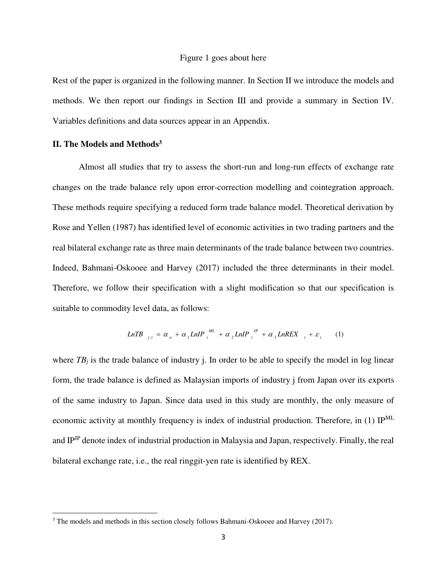#### Figure 1 goes about here

Rest of the paper is organized in the following manner. In Section II we introduce the models and methods. We then report our findings in Section III and provide a summary in Section IV. Variables definitions and data sources appear in an Appendix.

## **II. The Models and Methods<sup>3</sup>**

l

 Almost all studies that try to assess the short-run and long-run effects of exchange rate changes on the trade balance rely upon error-correction modelling and cointegration approach. These methods require specifying a reduced form trade balance model. Theoretical derivation by Rose and Yellen (1987) has identified level of economic activities in two trading partners and the real bilateral exchange rate as three main determinants of the trade balance between two countries. Indeed, Bahmani-Oskooee and Harvey (2017) included the three determinants in their model. Therefore, we follow their specification with a slight modification so that our specification is suitable to commodity level data, as follows:

$$
LnTB_{j,t} = \alpha_o + \alpha_1 LnIP_t^{ML} + \alpha_2 LnIP_t^{IP} + \alpha_3 LnREX_{t} + \varepsilon_t
$$
 (1)

where  $TB_i$  is the trade balance of industry j. In order to be able to specify the model in log linear form, the trade balance is defined as Malaysian imports of industry j from Japan over its exports of the same industry to Japan. Since data used in this study are monthly, the only measure of economic activity at monthly frequency is index of industrial production. Therefore, in (1) IPML and IPJP denote index of industrial production in Malaysia and Japan, respectively. Finally, the real bilateral exchange rate, i.e., the real ringgit-yen rate is identified by REX.

<sup>&</sup>lt;sup>3</sup> The models and methods in this section closely follows Bahmani-Oskooee and Harvey (2017).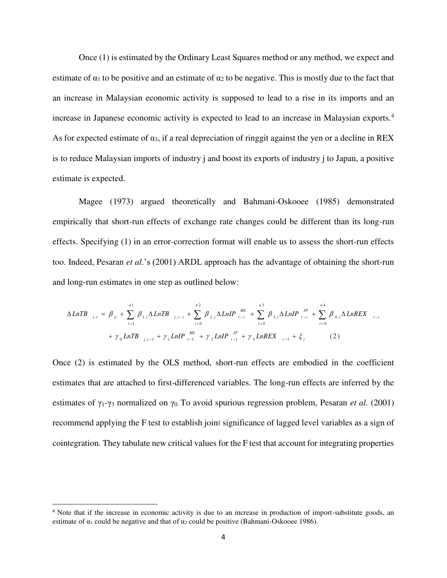Once (1) is estimated by the Ordinary Least Squares method or any method, we expect and estimate of  $\alpha_1$  to be positive and an estimate of  $\alpha_2$  to be negative. This is mostly due to the fact that an increase in Malaysian economic activity is supposed to lead to a rise in its imports and an increase in Japanese economic activity is expected to lead to an increase in Malaysian exports.<sup>4</sup> As for expected estimate of  $\alpha_3$ , if a real depreciation of ringgit against the yen or a decline in REX is to reduce Malaysian imports of industry j and boost its exports of industry j to Japan, a positive estimate is expected.

 Magee (1973) argued theoretically and Bahmani-Oskooee (1985) demonstrated empirically that short-run effects of exchange rate changes could be different than its long-run effects. Specifying (1) in an error-correction format will enable us to assess the short-run effects too. Indeed, Pesaran *et al*.'s (2001) ARDL approach has the advantage of obtaining the short-run and long-run estimates in one step as outlined below:

$$
\Delta LnTB_{j,t} = \beta_o + \sum_{i=1}^{n_1} \beta_{1,i} \Delta LnTB_{j,t-i} + \sum_{i=0}^{n_2} \beta_{2,i} \Delta LnIP_{t-i}^{ML} + \sum_{i=0}^{n_3} \beta_{3,i} \Delta LinIP_{t-i}^{JP} + \sum_{i=0}^{n_4} \beta_{4,i} \Delta LnREX_{t-i} + \gamma_0 LnTB_{j,t-1} + \gamma_1 LinIP_{t-1}^{ML} + \gamma_2 LinIP_{t-1}^{JP} + \gamma_3 LnREX_{t-1}^{JP} + \zeta_t
$$
 (2)

Once (2) is estimated by the OLS method, short-run effects are embodied in the coefficient estimates that are attached to first-differenced variables. The long-run effects are inferred by the estimates of  $\gamma_1$ - $\gamma_3$  normalized on  $\gamma_0$ . To avoid spurious regression problem, Pesaran *et al.* (2001) recommend applying the F test to establish joint significance of lagged level variables as a sign of cointegration. They tabulate new critical values for the F test that account for integrating properties

 $\overline{a}$ 

<sup>&</sup>lt;sup>4</sup> Note that if the increase in economic activity is due to an increase in production of import-substitute goods, an estimate of  $\alpha_1$  could be negative and that of  $\alpha_2$  could be positive (Bahmani-Oskooee 1986).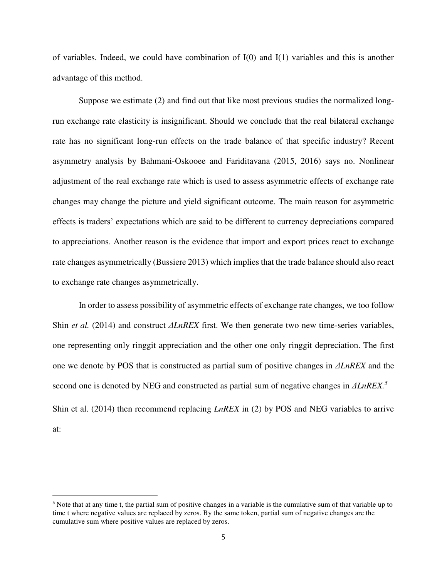of variables. Indeed, we could have combination of  $I(0)$  and  $I(1)$  variables and this is another advantage of this method.

 Suppose we estimate (2) and find out that like most previous studies the normalized longrun exchange rate elasticity is insignificant. Should we conclude that the real bilateral exchange rate has no significant long-run effects on the trade balance of that specific industry? Recent asymmetry analysis by Bahmani-Oskooee and Fariditavana (2015, 2016) says no. Nonlinear adjustment of the real exchange rate which is used to assess asymmetric effects of exchange rate changes may change the picture and yield significant outcome. The main reason for asymmetric effects is traders' expectations which are said to be different to currency depreciations compared to appreciations. Another reason is the evidence that import and export prices react to exchange rate changes asymmetrically (Bussiere 2013) which implies that the trade balance should also react to exchange rate changes asymmetrically.

In order to assess possibility of asymmetric effects of exchange rate changes, we too follow Shin *et al.* (2014) and construct *ΔLnREX* first. We then generate two new time-series variables, one representing only ringgit appreciation and the other one only ringgit depreciation. The first one we denote by POS that is constructed as partial sum of positive changes in *ΔLnREX* and the second one is denoted by NEG and constructed as partial sum of negative changes in *ΔLnREX.<sup>5</sup>* Shin et al. (2014) then recommend replacing *LnREX* in (2) by POS and NEG variables to arrive at:

l

<sup>5</sup> Note that at any time t, the partial sum of positive changes in a variable is the cumulative sum of that variable up to time t where negative values are replaced by zeros. By the same token, partial sum of negative changes are the cumulative sum where positive values are replaced by zeros.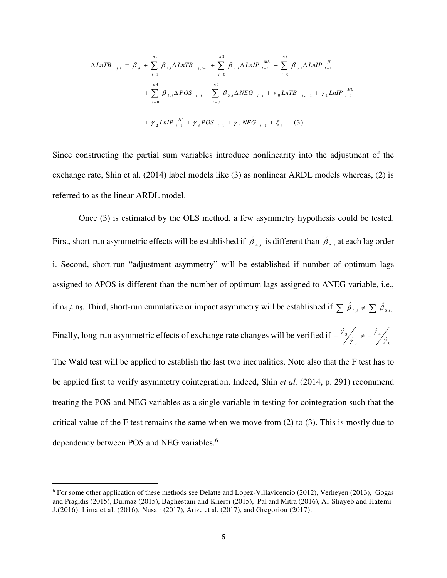$$
\Delta LnTB_{j,t} = \beta_o + \sum_{i=1}^{n_1} \beta_{1,i} \Delta LnTB_{j,t-i} + \sum_{i=0}^{n_2} \beta_{2,i} \Delta LinIP_{i-i} \frac{ML}{i-i} + \sum_{i=0}^{n_3} \beta_{3,i} \Delta LinIP_{i-i} \frac{M}{i-i} + \sum_{i=0}^{n_4} \beta_{4,i} \Delta POS_{i-i} + \sum_{i=0}^{n_5} \beta_{5,i} \Delta NEG_{i-i} + \gamma_0 LnTB_{j,t-1} + \gamma_1 LinIP_{i-1} \frac{M}{i-1} + \gamma_2 LinIP_{i-1} \frac{M}{i-1} + \gamma_3 POS_{i-1} + \gamma_4 NEG_{i-1} + \xi_i
$$
 (3)

Since constructing the partial sum variables introduce nonlinearity into the adjustment of the exchange rate, Shin et al. (2014) label models like (3) as nonlinear ARDL models whereas, (2) is referred to as the linear ARDL model.

 Once (3) is estimated by the OLS method, a few asymmetry hypothesis could be tested. First, short-run asymmetric effects will be established if  $\hat{\beta}_{4,i}$  is different than  $\hat{\beta}_{5,i}$  at each lag order i. Second, short-run "adjustment asymmetry" will be established if number of optimum lags assigned to ΔPOS is different than the number of optimum lags assigned to ΔNEG variable, i.e., if n<sub>4</sub> $\neq$  n<sub>5</sub>. Third, short-run cumulative or impact asymmetry will be established if  $\sum \hat{\beta}_{A,i} \neq \sum \hat{\beta}_{5,i}$ . Finally, long-run asymmetric effects of exchange rate changes will be verified if  $-\frac{r_3}{r_0} \neq -\frac{r_4}{r_0}$ . *ˆ ˆ ˆ* 0 4  $\bf{0}$ 3 γ γ γ  $-\frac{\gamma_3}{\gamma_2}$   $\neq$   $-$ The Wald test will be applied to establish the last two inequalities. Note also that the F test has to be applied first to verify asymmetry cointegration. Indeed, Shin *et al.* (2014, p. 291) recommend treating the POS and NEG variables as a single variable in testing for cointegration such that the critical value of the F test remains the same when we move from (2) to (3). This is mostly due to dependency between POS and NEG variables.<sup>6</sup>

l

<sup>6</sup> For some other application of these methods see Delatte and Lopez-Villavicencio (2012), Verheyen (2013), Gogas and Pragidis (2015), Durmaz (2015)[, Baghestani a](http://www.emeraldinsight.com/author/Baghestani%2C+Hamid)nd [Kherfi](http://www.emeraldinsight.com/author/Kherfi%2C+Samer) (2015), Pal and Mitra (2016)[, Al-Shayeb a](http://www.emeraldinsight.com/author/Al-Shayeb%2C+Abdulrahman)nd Hatemi-J.(2016), Lima et al. (2016), Nusair (2017), Arize et al. (2017), and [Gregoriou](http://www.emeraldinsight.com/author/Gregoriou%2C+Andros) (2017).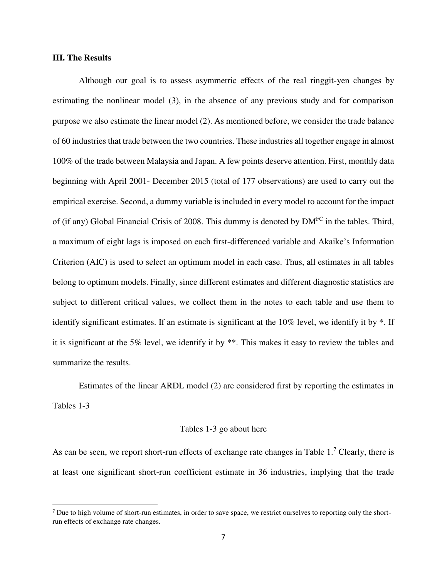#### **III. The Results**

 $\overline{a}$ 

 Although our goal is to assess asymmetric effects of the real ringgit-yen changes by estimating the nonlinear model (3), in the absence of any previous study and for comparison purpose we also estimate the linear model (2). As mentioned before, we consider the trade balance of 60 industries that trade between the two countries. These industries all together engage in almost 100% of the trade between Malaysia and Japan. A few points deserve attention. First, monthly data beginning with April 2001- December 2015 (total of 177 observations) are used to carry out the empirical exercise. Second, a dummy variable is included in every model to account for the impact of (if any) Global Financial Crisis of 2008. This dummy is denoted by DMFC in the tables. Third, a maximum of eight lags is imposed on each first-differenced variable and Akaike's Information Criterion (AIC) is used to select an optimum model in each case. Thus, all estimates in all tables belong to optimum models. Finally, since different estimates and different diagnostic statistics are subject to different critical values, we collect them in the notes to each table and use them to identify significant estimates. If an estimate is significant at the 10% level, we identify it by \*. If it is significant at the 5% level, we identify it by \*\*. This makes it easy to review the tables and summarize the results.

 Estimates of the linear ARDL model (2) are considered first by reporting the estimates in Tables 1-3

#### Tables 1-3 go about here

As can be seen, we report short-run effects of exchange rate changes in Table  $1.^7$  Clearly, there is at least one significant short-run coefficient estimate in 36 industries, implying that the trade

<sup>&</sup>lt;sup>7</sup> Due to high volume of short-run estimates, in order to save space, we restrict ourselves to reporting only the shortrun effects of exchange rate changes.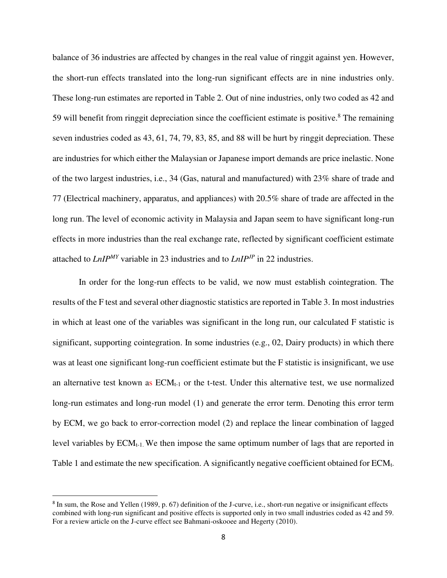balance of 36 industries are affected by changes in the real value of ringgit against yen. However, the short-run effects translated into the long-run significant effects are in nine industries only. These long-run estimates are reported in Table 2. Out of nine industries, only two coded as 42 and 59 will benefit from ringgit depreciation since the coefficient estimate is positive. $8$  The remaining seven industries coded as 43, 61, 74, 79, 83, 85, and 88 will be hurt by ringgit depreciation. These are industries for which either the Malaysian or Japanese import demands are price inelastic. None of the two largest industries, i.e., 34 (Gas, natural and manufactured) with 23% share of trade and 77 (Electrical machinery, apparatus, and appliances) with 20.5% share of trade are affected in the long run. The level of economic activity in Malaysia and Japan seem to have significant long-run effects in more industries than the real exchange rate, reflected by significant coefficient estimate attached to *LnIPMY* variable in 23 industries and to *LnIPJP* in 22 industries.

 In order for the long-run effects to be valid, we now must establish cointegration. The results of the F test and several other diagnostic statistics are reported in Table 3. In most industries in which at least one of the variables was significant in the long run, our calculated F statistic is significant, supporting cointegration. In some industries (e.g., 02, Dairy products) in which there was at least one significant long-run coefficient estimate but the F statistic is insignificant, we use an alternative test known as  $ECM_{t-1}$  or the t-test. Under this alternative test, we use normalized long-run estimates and long-run model (1) and generate the error term. Denoting this error term by ECM, we go back to error-correction model (2) and replace the linear combination of lagged level variables by  $ECM_{t-1}$ . We then impose the same optimum number of lags that are reported in Table 1 and estimate the new specification. A significantly negative coefficient obtained for ECMt-

l

<sup>&</sup>lt;sup>8</sup> In sum, the Rose and Yellen (1989, p. 67) definition of the J-curve, i.e., short-run negative or insignificant effects combined with long-run significant and positive effects is supported only in two small industries coded as 42 and 59. For a review article on the J-curve effect see Bahmani-oskooee and Hegerty (2010).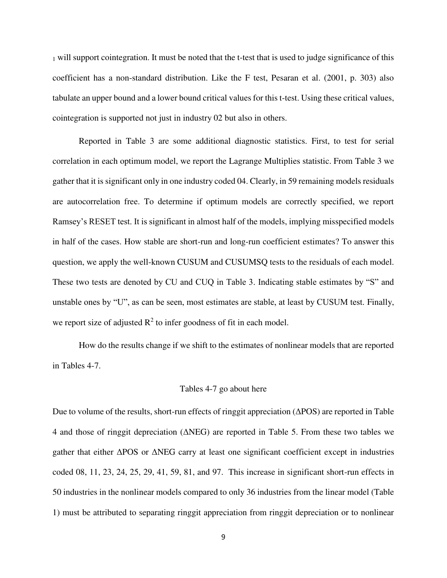<sup>1</sup> will support cointegration. It must be noted that the t-test that is used to judge significance of this coefficient has a non-standard distribution. Like the F test, Pesaran et al. (2001, p. 303) also tabulate an upper bound and a lower bound critical values for this t-test. Using these critical values, cointegration is supported not just in industry 02 but also in others.

 Reported in Table 3 are some additional diagnostic statistics. First, to test for serial correlation in each optimum model, we report the Lagrange Multiplies statistic. From Table 3 we gather that it is significant only in one industry coded 04. Clearly, in 59 remaining models residuals are autocorrelation free. To determine if optimum models are correctly specified, we report Ramsey's RESET test. It is significant in almost half of the models, implying misspecified models in half of the cases. How stable are short-run and long-run coefficient estimates? To answer this question, we apply the well-known CUSUM and CUSUMSQ tests to the residuals of each model. These two tests are denoted by CU and CUQ in Table 3. Indicating stable estimates by "S" and unstable ones by "U", as can be seen, most estimates are stable, at least by CUSUM test. Finally, we report size of adjusted  $\mathbb{R}^2$  to infer goodness of fit in each model.

 How do the results change if we shift to the estimates of nonlinear models that are reported in Tables 4-7.

#### Tables 4-7 go about here

Due to volume of the results, short-run effects of ringgit appreciation (ΔPOS) are reported in Table 4 and those of ringgit depreciation (ΔNEG) are reported in Table 5. From these two tables we gather that either ΔPOS or ΔNEG carry at least one significant coefficient except in industries coded 08, 11, 23, 24, 25, 29, 41, 59, 81, and 97. This increase in significant short-run effects in 50 industries in the nonlinear models compared to only 36 industries from the linear model (Table 1) must be attributed to separating ringgit appreciation from ringgit depreciation or to nonlinear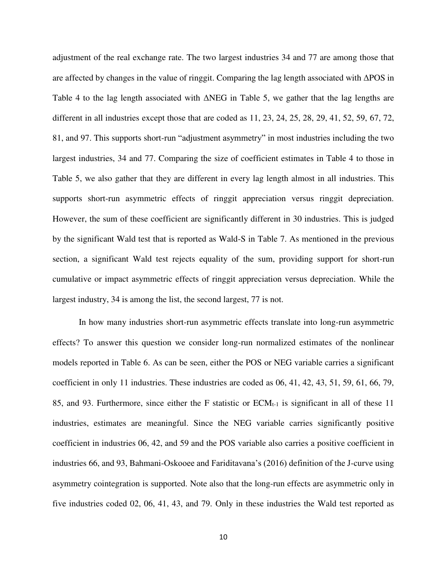adjustment of the real exchange rate. The two largest industries 34 and 77 are among those that are affected by changes in the value of ringgit. Comparing the lag length associated with ΔPOS in Table 4 to the lag length associated with ΔNEG in Table 5, we gather that the lag lengths are different in all industries except those that are coded as 11, 23, 24, 25, 28, 29, 41, 52, 59, 67, 72, 81, and 97. This supports short-run "adjustment asymmetry" in most industries including the two largest industries, 34 and 77. Comparing the size of coefficient estimates in Table 4 to those in Table 5, we also gather that they are different in every lag length almost in all industries. This supports short-run asymmetric effects of ringgit appreciation versus ringgit depreciation. However, the sum of these coefficient are significantly different in 30 industries. This is judged by the significant Wald test that is reported as Wald-S in Table 7. As mentioned in the previous section, a significant Wald test rejects equality of the sum, providing support for short-run cumulative or impact asymmetric effects of ringgit appreciation versus depreciation. While the largest industry, 34 is among the list, the second largest, 77 is not.

In how many industries short-run asymmetric effects translate into long-run asymmetric effects? To answer this question we consider long-run normalized estimates of the nonlinear models reported in Table 6. As can be seen, either the POS or NEG variable carries a significant coefficient in only 11 industries. These industries are coded as 06, 41, 42, 43, 51, 59, 61, 66, 79, 85, and 93. Furthermore, since either the F statistic or  $ECM_{t-1}$  is significant in all of these 11 industries, estimates are meaningful. Since the NEG variable carries significantly positive coefficient in industries 06, 42, and 59 and the POS variable also carries a positive coefficient in industries 66, and 93, Bahmani-Oskooee and Fariditavana's (2016) definition of the J-curve using asymmetry cointegration is supported. Note also that the long-run effects are asymmetric only in five industries coded 02, 06, 41, 43, and 79. Only in these industries the Wald test reported as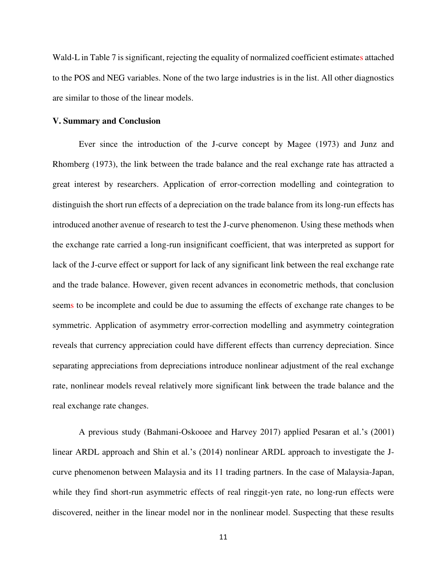Wald-L in Table 7 is significant, rejecting the equality of normalized coefficient estimates attached to the POS and NEG variables. None of the two large industries is in the list. All other diagnostics are similar to those of the linear models.

#### **V. Summary and Conclusion**

Ever since the introduction of the J-curve concept by Magee (1973) and Junz and Rhomberg (1973), the link between the trade balance and the real exchange rate has attracted a great interest by researchers. Application of error-correction modelling and cointegration to distinguish the short run effects of a depreciation on the trade balance from its long-run effects has introduced another avenue of research to test the J-curve phenomenon. Using these methods when the exchange rate carried a long-run insignificant coefficient, that was interpreted as support for lack of the J-curve effect or support for lack of any significant link between the real exchange rate and the trade balance. However, given recent advances in econometric methods, that conclusion seems to be incomplete and could be due to assuming the effects of exchange rate changes to be symmetric. Application of asymmetry error-correction modelling and asymmetry cointegration reveals that currency appreciation could have different effects than currency depreciation. Since separating appreciations from depreciations introduce nonlinear adjustment of the real exchange rate, nonlinear models reveal relatively more significant link between the trade balance and the real exchange rate changes.

 A previous study (Bahmani-Oskooee and Harvey 2017) applied Pesaran et al.'s (2001) linear ARDL approach and Shin et al.'s (2014) nonlinear ARDL approach to investigate the Jcurve phenomenon between Malaysia and its 11 trading partners. In the case of Malaysia-Japan, while they find short-run asymmetric effects of real ringgit-yen rate, no long-run effects were discovered, neither in the linear model nor in the nonlinear model. Suspecting that these results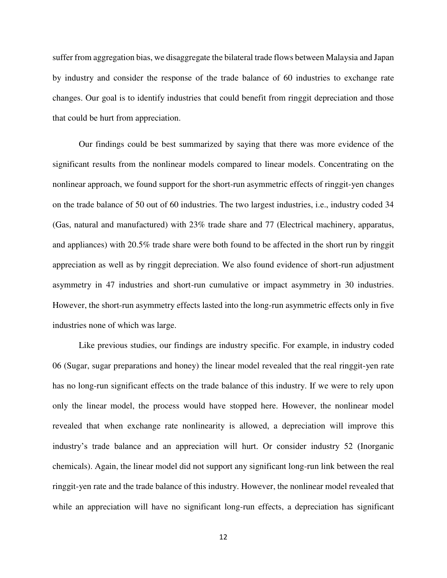suffer from aggregation bias, we disaggregate the bilateral trade flows between Malaysia and Japan by industry and consider the response of the trade balance of 60 industries to exchange rate changes. Our goal is to identify industries that could benefit from ringgit depreciation and those that could be hurt from appreciation.

 Our findings could be best summarized by saying that there was more evidence of the significant results from the nonlinear models compared to linear models. Concentrating on the nonlinear approach, we found support for the short-run asymmetric effects of ringgit-yen changes on the trade balance of 50 out of 60 industries. The two largest industries, i.e., industry coded 34 (Gas, natural and manufactured) with 23% trade share and 77 (Electrical machinery, apparatus, and appliances) with 20.5% trade share were both found to be affected in the short run by ringgit appreciation as well as by ringgit depreciation. We also found evidence of short-run adjustment asymmetry in 47 industries and short-run cumulative or impact asymmetry in 30 industries. However, the short-run asymmetry effects lasted into the long-run asymmetric effects only in five industries none of which was large.

 Like previous studies, our findings are industry specific. For example, in industry coded 06 (Sugar, sugar preparations and honey) the linear model revealed that the real ringgit-yen rate has no long-run significant effects on the trade balance of this industry. If we were to rely upon only the linear model, the process would have stopped here. However, the nonlinear model revealed that when exchange rate nonlinearity is allowed, a depreciation will improve this industry's trade balance and an appreciation will hurt. Or consider industry 52 (Inorganic chemicals). Again, the linear model did not support any significant long-run link between the real ringgit-yen rate and the trade balance of this industry. However, the nonlinear model revealed that while an appreciation will have no significant long-run effects, a depreciation has significant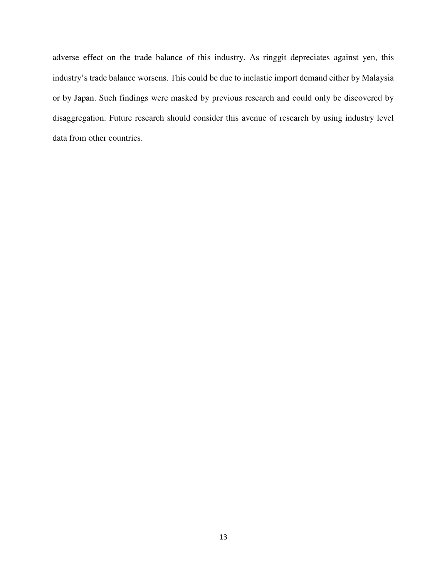adverse effect on the trade balance of this industry. As ringgit depreciates against yen, this industry's trade balance worsens. This could be due to inelastic import demand either by Malaysia or by Japan. Such findings were masked by previous research and could only be discovered by disaggregation. Future research should consider this avenue of research by using industry level data from other countries.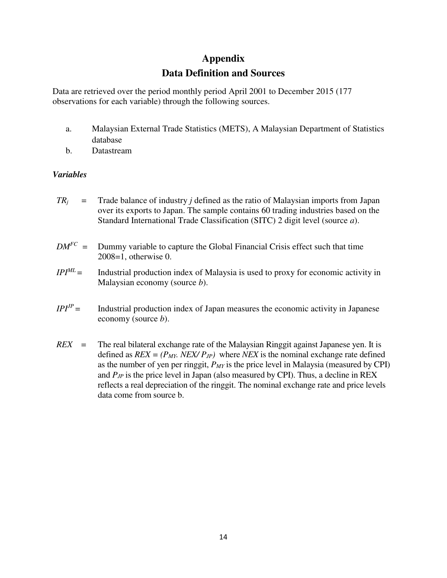# **Appendix**

# **Data Definition and Sources**

Data are retrieved over the period monthly period April 2001 to December 2015 (177 observations for each variable) through the following sources.

- a. Malaysian External Trade Statistics (METS), A Malaysian Department of Statistics database
- b. Datastream

# *Variables*

- $TR<sub>i</sub>$  = Trade balance of industry *j* defined as the ratio of Malaysian imports from Japan over its exports to Japan. The sample contains 60 trading industries based on the Standard International Trade Classification (SITC) 2 digit level (source *a*).
- $DM<sup>FC</sup>$  = Dummy variable to capture the Global Financial Crisis effect such that time 2008=1, otherwise 0.
- $IPI<sup>ML</sup>$  = Industrial production index of Malaysia is used to proxy for economic activity in Malaysian economy (source *b*).
- *= Industrial production index of Japan measures the economic activity in Japanese* economy (source *b*).
- *REX* = The real bilateral exchange rate of the Malaysian Ringgit against Japanese yen. It is defined as  $REX = (P_{MY} \cdot NEXT / P_{JP})$  where *NEX* is the nominal exchange rate defined as the number of yen per ringgit, *PMY* is the price level in Malaysia (measured by CPI) and  $P_{IP}$  is the price level in Japan (also measured by CPI). Thus, a decline in REX reflects a real depreciation of the ringgit. The nominal exchange rate and price levels data come from source b.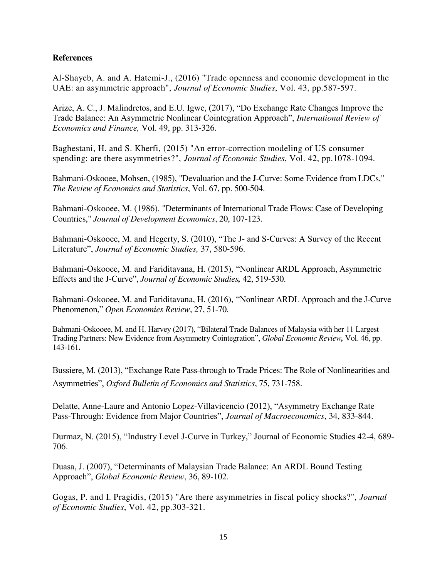## **References**

[Al-Shayeb,](http://www.emeraldinsight.com/author/Al-Shayeb%2C+Abdulrahman) A. and A. Hatemi-J., (2016) "Trade openness and economic development in the UAE: an asymmetric approach", *Journal of Economic Studies*, Vol. 43, pp.587-597.

Arize, A. C., J. Malindretos, and E.U. Igwe, (2017), "Do Exchange Rate Changes Improve the Trade Balance: An Asymmetric Nonlinear Cointegration Approach", *International Review of Economics and Finance,* [Vol. 49, pp. 313-326.](http://www.emeraldinsight.com/author/Baghestani%2C+Hamid) 

[Baghestani,](http://www.emeraldinsight.com/author/Baghestani%2C+Hamid) H. and [S. Kherfi,](http://www.emeraldinsight.com/author/Kherfi%2C+Samer) (2015) "An error-correction modeling of US consumer spending: are there asymmetries?", *Journal of Economic Studies*, Vol. 42, pp.1078-1094.

Bahmani-Oskooee, Mohsen, (1985), "Devaluation and the J-Curve: Some Evidence from LDCs," *The Review of Economics and Statistics*, Vol. 67, pp. 500-504.

Bahmani-Oskooee, M. (1986). "Determinants of International Trade Flows: Case of Developing Countries," *Journal of Development Economics*, 20, 107-123.

Bahmani-Oskooee, M. and Hegerty, S. (2010), "The J- and S-Curves: A Survey of the Recent Literature", *Journal of Economic Studies,* 37, 580-596.

Bahmani-Oskooee, M. and Fariditavana, H. (2015), "Nonlinear ARDL Approach, Asymmetric Effects and the J-Curve", *Journal of Economic Studies,* 42, 519-530.

Bahmani-Oskooee, M. and Fariditavana, H. (2016), "Nonlinear ARDL Approach and the J-Curve Phenomenon," *Open Economies Review*, 27, 51-70.

Bahmani-Oskooee, M. and H. Harvey (2017), "Bilateral Trade Balances of Malaysia with her 11 Largest Trading Partners: New Evidence from Asymmetry Cointegration", *Global Economic Review,* Vol. 46, pp. 143-161**.**

Bussiere, M. (2013), "Exchange Rate Pass-through to Trade Prices: The Role of Nonlinearities and Asymmetries", *Oxford Bulletin of Economics and Statistics*, 75, 731-758.

Delatte, Anne-Laure and Antonio Lopez-Villavicencio (2012), "Asymmetry Exchange Rate Pass-Through: Evidence from Major Countries", *Journal of Macroeconomics*, 34, 833-844.

Durmaz, N. (2015), "Industry Level J-Curve in Turkey," Journal of Economic Studies 42-4, 689- 706.

Duasa, J. (2007), "Determinants of Malaysian Trade Balance: An ARDL Bound Testing Approach", *Global Economic Review*[, 36, 89-102.](http://www.emeraldinsight.com/author/Gogas%2C+Periklis) 

[Gogas,](http://www.emeraldinsight.com/author/Gogas%2C+Periklis) P. and [I. Pragidis,](http://www.emeraldinsight.com/author/Pragidis%2C+Ioannis) (2015) "Are there asymmetries in fiscal policy shocks?", *Journal of Economic Studies*, Vol. 42, pp.303-321.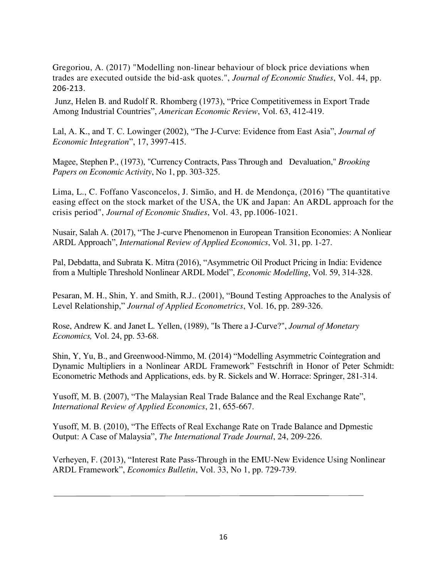[Gregoriou,](http://www.emeraldinsight.com/author/Gregoriou%2C+Andros) A. (2017) "Modelling non-linear behaviour of block price deviations when trades are executed outside the bid-ask quotes.", *Journal of Economic Studies*, Vol. 44, pp. 206-213.

Junz, Helen B. and Rudolf R. Rhomberg (1973), "Price Competitivemess in Export Trade Among Industrial Countries", *American Economic Review*, Vol. 63, 412-419.

Lal, A. K., and T. C. Lowinger (2002), "The J-Curve: Evidence from East Asia", *Journal of Economic Integration*", 17, 3997-415.

Magee, Stephen P., (1973), "Currency Contracts, Pass Through and Devaluation," *Brooking Papers on Economic Activity*[, No 1, pp. 303-325.](http://www.emeraldinsight.com/author/Lima%2C+Luiz) 

[Lima,](http://www.emeraldinsight.com/author/Lima%2C+Luiz) L., [C. Foffano Vasconcelos,](http://www.emeraldinsight.com/author/Vasconcelos%2C+Claudio+Foffano) [J. Simão,](http://www.emeraldinsight.com/author/Sim%C3%A3o%2C+Jose) and [H. de Mendonça,](http://www.emeraldinsight.com/author/de+Mendon%C3%A7a%2C+Helder+Ferreira) (2016) "The quantitative easing effect on the stock market of the USA, the UK and Japan: An ARDL approach for the crisis period", *Journal of Economic Studies*, Vol. 43, pp.1006-1021.

Nusair, Salah A. (2017), "The J-curve Phenomenon in European Transition Economies: A Nonliear ARDL Approach", *International Review of Applied Economics*, Vol. 31, pp. 1-27.

Pal, Debdatta, and Subrata K. Mitra (2016), "Asymmetric Oil Product Pricing in India: Evidence from a Multiple Threshold Nonlinear ARDL Model", *Economic Modelling*, Vol. 59, 314-328.

Pesaran, M. H., Shin, Y. and Smith, R.J.. (2001), "Bound Testing Approaches to the Analysis of Level Relationship," *Journal of Applied Econometrics*, Vol. 16, pp. 289-326.

Rose, Andrew K. and Janet L. Yellen, (1989), "Is There a J-Curve?", *Journal of Monetary Economics,* Vol. 24, pp. 53-68.

Shin, Y, Yu, B., and Greenwood-Nimmo, M. (2014) "Modelling Asymmetric Cointegration and Dynamic Multipliers in a Nonlinear ARDL Framework" Festschrift in Honor of Peter Schmidt: Econometric Methods and Applications, eds. by R. Sickels and W. Horrace: Springer, 281-314.

Yusoff, M. B. (2007), "The Malaysian Real Trade Balance and the Real Exchange Rate", *International Review of Applied Economics*, 21, 655-667.

Yusoff, M. B. (2010), "The Effects of Real Exchange Rate on Trade Balance and Dpmestic Output: A Case of Malaysia", *The International Trade Journal*, 24, 209-226.

Verheyen, F. (2013), "Interest Rate Pass-Through in the EMU-New Evidence Using Nonlinear ARDL Framework", *Economics Bulletin*, Vol. 33, No 1, pp. 729-739.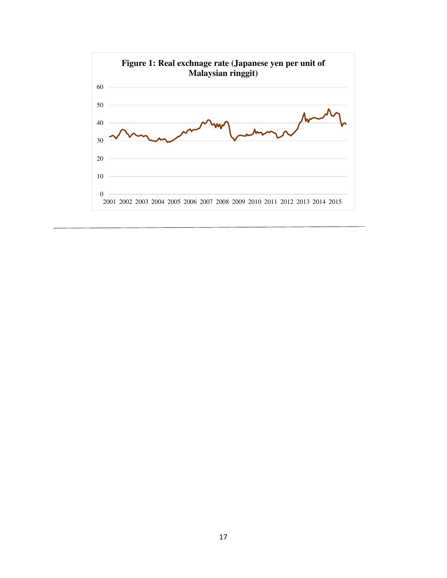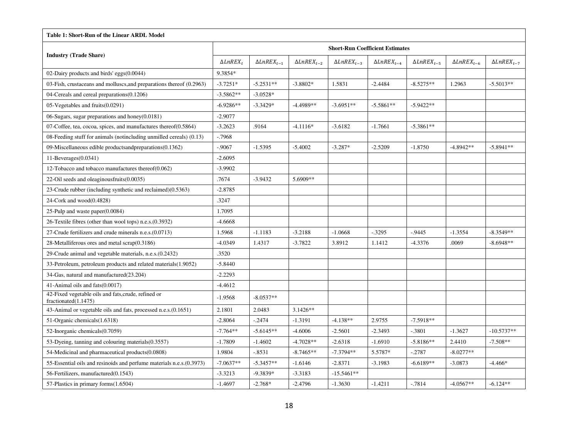| Table 1: Short-Run of the Linear ARDL Model                                 |                         |                          |                          |                          |                                        |                          |                          |                       |  |  |
|-----------------------------------------------------------------------------|-------------------------|--------------------------|--------------------------|--------------------------|----------------------------------------|--------------------------|--------------------------|-----------------------|--|--|
|                                                                             |                         |                          |                          |                          | <b>Short-Run Coefficient Estimates</b> |                          |                          |                       |  |  |
| <b>Industry (Trade Share)</b>                                               | $\triangle L n R E X_t$ | $\Delta L n R E X_{t-1}$ | $\Delta L n R E X_{t-2}$ | $\Delta L n R E X_{t-3}$ | $\Delta L n R E X_{t-4}$               | $\Delta L n R E X_{t-5}$ | $\Delta L n R E X_{t-6}$ | $\Delta L nREX_{t-7}$ |  |  |
| 02-Dairy products and birds' eggs(0.0044)                                   | 9.3854*                 |                          |                          |                          |                                        |                          |                          |                       |  |  |
| 03-Fish, crustaceans and molluscs, and preparations thereof (0.2963)        | $-3.7251*$              | $-5.2531**$              | $-3.8802*$               | 1.5831                   | $-2.4484$                              | $-8.5275**$              | 1.2963                   | $-5.5013**$           |  |  |
| 04-Cereals and cereal preparations(0.1206)                                  | $-3.5862**$             | $-3.0528*$               |                          |                          |                                        |                          |                          |                       |  |  |
| 05-Vegetables and fruits(0.0291)                                            | $-6.9286**$             | $-3.3429*$               | $-4.4989**$              | $-3.6951**$              | $-5.5861**$                            | $-5.9422**$              |                          |                       |  |  |
| 06-Sugars, sugar preparations and honey $(0.0181)$                          | $-2.9077$               |                          |                          |                          |                                        |                          |                          |                       |  |  |
| 07-Coffee, tea, cocoa, spices, and manufactures thereof(0.5864)             | $-3.2623$               | .9164                    | $-4.1116*$               | $-3.6182$                | $-1.7661$                              | $-5.3861**$              |                          |                       |  |  |
| 08-Feeding stuff for animals (notincluding unmilled cereals) (0.13)         | $-0.7968$               |                          |                          |                          |                                        |                          |                          |                       |  |  |
| 09-Miscellaneous edible productsandpreparations(0.1362)                     | $-0.9067$               | $-1.5395$                | $-5.4002$                | $-3.287*$                | $-2.5209$                              | $-1.8750$                | $-4.8942**$              | $-5.8941**$           |  |  |
| $11$ -Beverages $(0.0341)$                                                  | $-2.6095$               |                          |                          |                          |                                        |                          |                          |                       |  |  |
| 12-Tobacco and tobacco manufactures thereof(0.062)                          | $-3.9902$               |                          |                          |                          |                                        |                          |                          |                       |  |  |
| 22-Oil seeds and oleaginousfruits(0.0035)                                   | .7674                   | $-3.9432$                | 5.6909**                 |                          |                                        |                          |                          |                       |  |  |
| 23-Crude rubber (including synthetic and reclaimed)(0.5363)                 | $-2.8785$               |                          |                          |                          |                                        |                          |                          |                       |  |  |
| 24-Cork and wood(0.4828)                                                    | .3247                   |                          |                          |                          |                                        |                          |                          |                       |  |  |
| 25-Pulp and waste paper(0.0084)                                             | 1.7095                  |                          |                          |                          |                                        |                          |                          |                       |  |  |
| 26-Textile fibres (other than wool tops) n.e.s.(0.3932)                     | $-4.6668$               |                          |                          |                          |                                        |                          |                          |                       |  |  |
| 27-Crude fertilizers and crude minerals n.e.s. (0.0713)                     | 1.5968                  | $-1.1183$                | $-3.2188$                | $-1.0668$                | $-.3295$                               | $-0.9445$                | $-1.3554$                | $-8.3549**$           |  |  |
| 28-Metalliferous ores and metal scrap(0.3186)                               | $-4.0349$               | 1.4317                   | $-3.7822$                | 3.8912                   | 1.1412                                 | $-4.3376$                | .0069                    | $-8.6948**$           |  |  |
| 29-Crude animal and vegetable materials, n.e.s. (0.2432)                    | .3520                   |                          |                          |                          |                                        |                          |                          |                       |  |  |
| 33-Petroleum, petroleum products and related materials (1.9052)             | $-5.8440$               |                          |                          |                          |                                        |                          |                          |                       |  |  |
| 34-Gas, natural and manufactured(23.204)                                    | $-2.2293$               |                          |                          |                          |                                        |                          |                          |                       |  |  |
| 41-Animal oils and fats(0.0017)                                             | $-4.4612$               |                          |                          |                          |                                        |                          |                          |                       |  |  |
| 42-Fixed vegetable oils and fats, crude, refined or<br>fractionated(1.1475) | $-1.9568$               | $-8.0537**$              |                          |                          |                                        |                          |                          |                       |  |  |
| 43-Animal or vegetable oils and fats, processed n.e.s.(0.1651)              | 2.1801                  | 2.0483                   | $3.1426**$               |                          |                                        |                          |                          |                       |  |  |
| 51-Organic chemicals (1.6318)                                               | $-2.8064$               | $-.2474$                 | $-1.3191$                | $-4.138**$               | 2.9755                                 | $-7.5918**$              |                          |                       |  |  |
| 52-Inorganic chemicals(0.7059)                                              | $-7.764**$              | $-5.6145**$              | $-4.6006$                | $-2.5601$                | $-2.3493$                              | $-.3801$                 | $-1.3627$                | $-10.5737**$          |  |  |
| 53-Dyeing, tanning and colouring materials (0.3557)                         | $-1.7809$               | $-1.4602$                | $-4.7028**$              | $-2.6318$                | $-1.6910$                              | $-5.8186**$              | 2.4410                   | $-7.508**$            |  |  |
| 54-Medicinal and pharmaceutical products(0.0808)                            | 1.9804                  | $-.8531$                 | $-8.7465**$              | $-7.3794**$              | 5.5787*                                | $-.2787$                 | $-8.0277**$              |                       |  |  |
| 55-Essential oils and resinoids and perfume materials n.e.s.(0.3973)        | $-7.0637**$             | $-5.3457**$              | $-1.6146$                | $-2.8371$                | $-3.1983$                              | $-6.6189**$              | $-3.0873$                | $-4.466*$             |  |  |
| 56-Fertilizers, manufactured(0.1543)                                        | $-3.3213$               | $-9.3839*$               | $-3.3183$                | $-15.5461**$             |                                        |                          |                          |                       |  |  |
| 57-Plastics in primary forms (1.6504)                                       | $-1.4697$               | $-2.768*$                | $-2.4796$                | $-1.3630$                | $-1.4211$                              | $-.7814$                 | $-4.0567**$              | $-6.124**$            |  |  |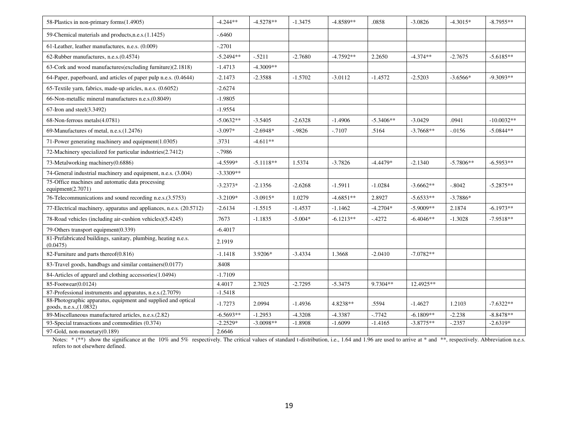| 58-Plastics in non-primary forms(1.4905)                                                 | $-4.244**$  | $-4.5278**$ | $-1.3475$ | $-4.8589**$ | .0858       | $-3.0826$   | $-4.3015*$  | $-8.7955**$  |
|------------------------------------------------------------------------------------------|-------------|-------------|-----------|-------------|-------------|-------------|-------------|--------------|
| 59-Chemical materials and products, n.e.s. (1.1425)                                      | $-.6460$    |             |           |             |             |             |             |              |
| 61-Leather, leather manufactures, n.e.s. (0.009)                                         | $-.2701$    |             |           |             |             |             |             |              |
| 62-Rubber manufactures, n.e.s. (0.4574)                                                  | $-5.2494**$ | $-.5211$    | $-2.7680$ | $-4.7592**$ | 2.2650      | $-4.374**$  | $-2.7675$   | $-5.6185**$  |
| 63-Cork and wood manufactures(excluding furniture)(2.1818)                               | $-1.4713$   | $-4.3009**$ |           |             |             |             |             |              |
| 64-Paper, paperboard, and articles of paper pulp n.e.s. (0.4644)                         | $-2.1473$   | $-2.3588$   | $-1.5702$ | $-3.0112$   | $-1.4572$   | $-2.5203$   | $-3.6566*$  | $-9.3093**$  |
| 65-Textile yarn, fabrics, made-up aricles, n.e.s. (0.6052)                               | $-2.6274$   |             |           |             |             |             |             |              |
| 66-Non-metallic mineral manufactures n.e.s. (0.8049)                                     | $-1.9805$   |             |           |             |             |             |             |              |
| $67$ -Iron and steel $(3.3492)$                                                          | $-1.9554$   |             |           |             |             |             |             |              |
| 68-Non-ferrous metals(4.0781)                                                            | $-5.0632**$ | $-3.5405$   | $-2.6328$ | $-1.4906$   | $-5.3406**$ | $-3.0429$   | .0941       | $-10.0032**$ |
| 69-Manufactures of metal, n.e.s. (1.2476)                                                | $-3.097*$   | $-2.6948*$  | $-0.9826$ | $-.7107$    | .5164       | $-3.7668**$ | $-0.0156$   | $-5.0844**$  |
| 71-Power generating machinery and equipment(1.0305)                                      | .3731       | $-4.611**$  |           |             |             |             |             |              |
| 72-Machinery specialized for particular industries (2.7412)                              | $-0.7986$   |             |           |             |             |             |             |              |
| 73-Metalworking machinery(0.6886)                                                        | $-4.5599*$  | $-5.1118**$ | 1.5374    | $-3.7826$   | $-4.4479*$  | $-2.1340$   | $-5.7806**$ | $-6.5953**$  |
| 74-General industrial machinery and equipment, n.e.s. (3.004)                            | $-3.3309**$ |             |           |             |             |             |             |              |
| 75-Office machines and automatic data processing<br>equipment $(2.7071)$                 | $-3.2373*$  | $-2.1356$   | $-2.6268$ | $-1.5911$   | $-1.0284$   | $-3.6662**$ | $-.8042$    | $-5.2875**$  |
| 76-Telecommunications and sound recording n.e.s.(3.5753)                                 | $-3.2109*$  | $-3.0915*$  | 1.0279    | $-4.6851**$ | 2.8927      | $-5.6533**$ | $-3.7886*$  |              |
| 77-Electrical machinery, apparatus and appliances, n.e.s. (20.5712)                      | $-2.6134$   | $-1.5515$   | $-1.4537$ | $-1.1462$   | $-4.2704*$  | $-5.9009**$ | 2.1874      | $-6.1973**$  |
| 78-Road vehicles (including air-cushion vehicles)(5.4245)                                | .7673       | $-1.1835$   | $-5.004*$ | $-6.1213**$ | $-.4272$    | $-6.4046**$ | $-1.3028$   | $-7.9518**$  |
| 79-Others transport equipment(0.339)                                                     | $-6.4017$   |             |           |             |             |             |             |              |
| 81-Prefabricated buildings, sanitary, plumbing, heating n.e.s.<br>(0.0475)               | 2.1919      |             |           |             |             |             |             |              |
| 82-Furniture and parts thereof(0.816)                                                    | $-1.1418$   | 3.9206*     | $-3.4334$ | 1.3668      | $-2.0410$   | $-7.0782**$ |             |              |
| 83-Travel goods, handbags and similar containers(0.0177)                                 | .8408       |             |           |             |             |             |             |              |
| 84-Articles of apparel and clothing accessories(1.0494)                                  | $-1.7109$   |             |           |             |             |             |             |              |
| 85-Footwear(0.0124)                                                                      | 4.4017      | 2.7025      | $-2.7295$ | $-5.3475$   | 9.7304**    | 12.4925**   |             |              |
| 87-Professional instruments and apparatus, n.e.s.(2.7079)                                | $-1.5418$   |             |           |             |             |             |             |              |
| 88-Photographic apparatus, equipment and supplied and optical<br>goods, n.e.s., (1.0832) | $-1.7273$   | 2.0994      | $-1.4936$ | 4.8238**    | .5594       | $-1.4627$   | 1.2103      | $-7.6322**$  |
| 89-Miscellaneous manufactured articles, n.e.s.(2.82)                                     | $-6.5693**$ | $-1.2953$   | $-4.3208$ | $-4.3387$   | $-0.7742$   | $-6.1809**$ | $-2.238$    | $-8.8478**$  |
| 93-Special transactions and commodities (0.374)                                          | $-2.2529*$  | $-3.0098**$ | $-1.8908$ | $-1.6099$   | $-1.4165$   | $-3.8775**$ | $-.2357$    | $-2.6319*$   |
| 97-Gold, non-monetary(0.189)                                                             | 2.6646      |             |           |             |             |             |             |              |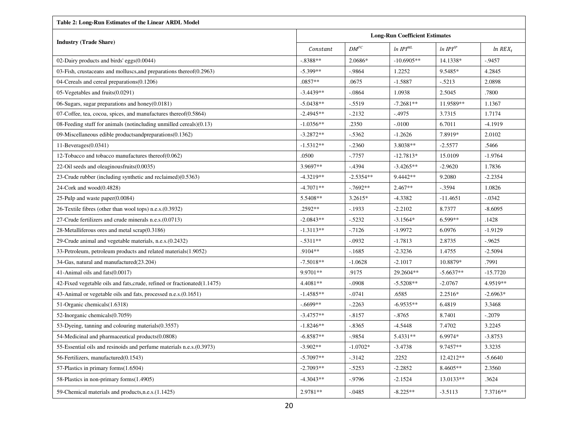| <b>Table 2: Long-Run Estimates of the Linear ARDL Model</b>               |                                       |             |               |                      |                       |  |  |  |  |  |
|---------------------------------------------------------------------------|---------------------------------------|-------------|---------------|----------------------|-----------------------|--|--|--|--|--|
|                                                                           | <b>Long-Run Coefficient Estimates</b> |             |               |                      |                       |  |  |  |  |  |
| <b>Industry (Trade Share)</b>                                             | Constant                              | $DM^{FC}$   | $ln IPI^{ML}$ | ln IPI <sup>IP</sup> | $ln$ REX <sub>t</sub> |  |  |  |  |  |
| 02-Dairy products and birds' eggs(0.0044)                                 | $-.8388**$                            | 2.0686*     | $-10.6905**$  | 14.1338*             | $-0.9457$             |  |  |  |  |  |
| 03-Fish, crustaceans and molluscs, and preparations thereof (0.2963)      | $-5.399**$                            | $-.9864$    | 1.2252        | 9.5485*              | 4.2845                |  |  |  |  |  |
| 04-Cereals and cereal preparations(0.1206)                                | $.0857**$                             | .0675       | $-1.5887$     | $-.5213$             | 2.0898                |  |  |  |  |  |
| 05-Vegetables and fruits(0.0291)                                          | $-3.4439**$                           | $-0.0864$   | 1.0938        | 2.5045               | .7800                 |  |  |  |  |  |
| 06-Sugars, sugar preparations and honey(0.0181)                           | $-5.0438**$                           | $-0.5519$   | $-7.2681**$   | 11.9589**            | 1.1367                |  |  |  |  |  |
| 07-Coffee, tea, cocoa, spices, and manufactures thereof(0.5864)           | $-2.4945**$                           | $-2132$     | $-.4975$      | 3.7315               | 1.7174                |  |  |  |  |  |
| 08-Feeding stuff for animals (notincluding unmilled cereals) $(0.13)$     | $-1.0356**$                           | .2350       | $-.0100$      | 6.7011               | $-4.1919$             |  |  |  |  |  |
| 09-Miscellaneous edible productsandpreparations(0.1362)                   | $-3.2872**$                           | $-5362$     | $-1.2626$     | 7.8919*              | 2.0102                |  |  |  |  |  |
| $11$ -Beverages $(0.0341)$                                                | $-1.5312**$                           | $-.2360$    | 3.8038**      | $-2.5577$            | .5466                 |  |  |  |  |  |
| 12-Tobacco and tobacco manufactures thereof $(0.062)$                     | .0500                                 | $-0.7757$   | $-12.7813*$   | 15.0109              | $-1.9764$             |  |  |  |  |  |
| 22-Oil seeds and oleaginous fruits $(0.0035)$                             | 3.9697**                              | $-4394$     | $-3.4265**$   | $-2.9620$            | 1.7836                |  |  |  |  |  |
| 23-Crude rubber (including synthetic and reclaimed)(0.5363)               | $-4.3219**$                           | $-2.5354**$ | 9.4442**      | 9.2080               | $-2.2354$             |  |  |  |  |  |
| 24-Cork and $wood(0.4828)$                                                | $-4.7071**$                           | $-7692**$   | $2.467**$     | $-.3594$             | 1.0826                |  |  |  |  |  |
| 25-Pulp and waste paper $(0.0084)$                                        | 5.5408**                              | 3.2615*     | $-4.3382$     | $-11.4651$           | $-.0342$              |  |  |  |  |  |
| 26-Textile fibres (other than wool tops) n.e.s. (0.3932)                  | .2592**                               | $-1933$     | $-2.2102$     | 8.7377               | $-8.6095$             |  |  |  |  |  |
| 27-Crude fertilizers and crude minerals n.e.s. (0.0713)                   | $-2.0843**$                           | $-.5232$    | $-3.1564*$    | 6.599**              | .1428                 |  |  |  |  |  |
| 28-Metalliferous ores and metal scrap(0.3186)                             | $-1.3113**$                           | $-7126$     | $-1.9972$     | 6.0976               | $-1.9129$             |  |  |  |  |  |
| 29-Crude animal and vegetable materials, n.e.s. (0.2432)                  | $-.5311**$                            | $-.0932$    | $-1.7813$     | 2.8735               | $-0.9625$             |  |  |  |  |  |
| 33-Petroleum, petroleum products and related materials(1.9052)            | .9104**                               | $-1685$     | $-2.3236$     | 1.4755               | $-2.5094$             |  |  |  |  |  |
| 34-Gas, natural and manufactured(23.204)                                  | $-7.5018**$                           | $-1.0628$   | $-2.1017$     | 10.8879*             | .7991                 |  |  |  |  |  |
| 41-Animal oils and fats(0.0017)                                           | 9.9701**                              | .9175       | 29.2604**     | $-5.6637**$          | $-15.7720$            |  |  |  |  |  |
| 42-Fixed vegetable oils and fats, crude, refined or fractionated (1.1475) | 4.4081**                              | $-.0908$    | $-5.5208**$   | $-2.0767$            | 4.9519**              |  |  |  |  |  |
| 43-Animal or vegetable oils and fats, processed n.e.s.(0.1651)            | $-1.4585**$                           | $-.0741$    | .6585         | 2.2516*              | $-2.6963*$            |  |  |  |  |  |
| 51-Organic chemicals (1.6318)                                             | $-6699**$                             | $-.2263$    | $-6.9535**$   | 6.4819               | 3.3468                |  |  |  |  |  |
| 52-Inorganic chemicals (0.7059)                                           | $-3.4757**$                           | $-8157$     | $-.8765$      | 8.7401               | $-.2079$              |  |  |  |  |  |
| 53-Dyeing, tanning and colouring materials (0.3557)                       | $-1.8246**$                           | $-0.8365$   | $-4.5448$     | 7.4702               | 3.2245                |  |  |  |  |  |
| 54-Medicinal and pharmaceutical products(0.0808)                          | $-6.8587**$                           | $-0.9854$   | 5.4331**      | 6.9974*              | $-3.8753$             |  |  |  |  |  |
| 55-Essential oils and resinoids and perfume materials n.e.s. (0.3973)     | $-3.902**$                            | $-1.0702*$  | $-3.4738$     | 9.7457**             | 3.3235                |  |  |  |  |  |
| 56-Fertilizers, manufactured(0.1543)                                      | $-5.7097**$                           | $-3142$     | .2252         | 12.4212**            | $-5.6640$             |  |  |  |  |  |
| 57-Plastics in primary forms(1.6504)                                      | $-2.7093**$                           | $-5253$     | $-2.2852$     | 8.4605**             | 2.3560                |  |  |  |  |  |
| 58-Plastics in non-primary forms(1.4905)                                  | $-4.3043**$                           | $-0.9796$   | $-2.1524$     | 13.0133**            | .3624                 |  |  |  |  |  |
| 59-Chemical materials and products, n.e.s. (1.1425)                       | 2.9781**                              | $-.0485$    | $-8.225**$    | $-3.5113$            | 7.3716**              |  |  |  |  |  |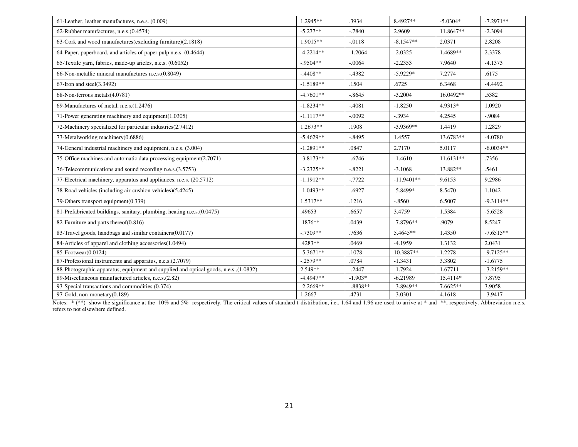| 61-Leather, leather manufactures, n.e.s. (0.009)                                      | 1.2945**    | .3934     | 8.4927**     | $-5.0304*$  | $-7.2971**$ |
|---------------------------------------------------------------------------------------|-------------|-----------|--------------|-------------|-------------|
| 62-Rubber manufactures, n.e.s. (0.4574)                                               | $-5.277**$  | $-7840$   | 2.9609       | 11.8647**   | $-2.3094$   |
| 63-Cork and wood manufactures(excluding furniture)(2.1818)                            | $1.9015**$  | $-.0118$  | $-8.1547**$  | 2.0371      | 2.8208      |
| 64-Paper, paperboard, and articles of paper pulp n.e.s. (0.4644)                      | $-4.2214**$ | $-1.2064$ | $-2.0325$    | 1.4689**    | 2.3378      |
| 65-Textile yarn, fabrics, made-up aricles, n.e.s. (0.6052)                            | $-9504**$   | $-.0064$  | $-2.2353$    | 7.9640      | $-4.1373$   |
| 66-Non-metallic mineral manufactures n.e.s. (0.8049)                                  | $-.4408**$  | $-4382$   | $-5.9229*$   | 7.2774      | .6175       |
| $67$ -Iron and steel $(3.3492)$                                                       | $-1.5189**$ | .1504     | .6725        | 6.3468      | $-4.4492$   |
| 68-Non-ferrous metals(4.0781)                                                         | $-4.7601**$ | $-0.8645$ | $-3.2004$    | 16.0492**   | .5382       |
| 69-Manufactures of metal, n.e.s. (1.2476)                                             | $-1.8234**$ | $-4081$   | $-1.8250$    | 4.9313*     | 1.0920      |
| 71-Power generating machinery and equipment(1.0305)                                   | $-1.1117**$ | $-.0092$  | $-.3934$     | 4.2545      | $-0.9084$   |
| 72-Machinery specialized for particular industries(2.7412)                            | $1.2673**$  | .1908     | $-3.9369**$  | 1.4419      | 1.2829      |
| 73-Metalworking machinery(0.6886)                                                     | $-5.4629**$ | $-.8495$  | 1.4557       | 13.6783**   | $-4.0780$   |
| 74-General industrial machinery and equipment, n.e.s. (3.004)                         | $-1.2891**$ | .0847     | 2.7170       | 5.0117      | $-6.0034**$ |
| 75-Office machines and automatic data processing equipment(2.7071)                    | $-3.8173**$ | $-0.6746$ | $-1.4610$    | $11.6131**$ | .7356       |
| 76-Telecommunications and sound recording n.e.s.(3.5753)                              | $-3.2325**$ | $-.8221$  | $-3.1068$    | 13.882**    | .5461       |
| 77-Electrical machinery, apparatus and appliances, n.e.s. (20.5712)                   | $-1.1912**$ | $-.7722$  | $-11.9401**$ | 9.6153      | 9.2986      |
| 78-Road vehicles (including air-cushion vehicles)(5.4245)                             | $-1.0493**$ | $-0.6927$ | $-5.8499*$   | 8.5470      | 1.1042      |
| 79-Others transport equipment(0.339)                                                  | $1.5317**$  | .1216     | $-.8560$     | 6.5007      | $-9.3114**$ |
| 81-Prefabricated buildings, sanitary, plumbing, heating n.e.s.(0.0475)                | .49653      | .6657     | 3.4759       | 1.5384      | $-5.6528$   |
| 82-Furniture and parts thereof(0.816)                                                 | $.1876**$   | .0439     | $-7.8796**$  | .9079       | 8.5247      |
| 83-Travel goods, handbags and similar containers(0.0177)                              | $-7309**$   | .7636     | 5.4645**     | 1.4350      | $-7.6515**$ |
| 84-Articles of apparel and clothing accessories (1.0494)                              | .4283**     | .0469     | $-4.1959$    | 1.3132      | 2.0431      |
| 85-Footwear(0.0124)                                                                   | $-5.3671**$ | .1078     | 10.3887**    | 1.2278      | $-9.7125**$ |
| 87-Professional instruments and apparatus, n.e.s.(2.7079)                             | $-.2579**$  | .0784     | $-1.3431$    | 3.3802      | $-1.6775$   |
| 88-Photographic apparatus, equipment and supplied and optical goods, n.e.s., (1.0832) | $2.549**$   | $-.2447$  | $-1.7924$    | 1.67711     | $-3.2159**$ |
| 89-Miscellaneous manufactured articles, n.e.s. (2.82)                                 | $-4.4947**$ | $-1.903*$ | $-6.21989$   | 15.4114*    | 7.8795      |
| 93-Special transactions and commodities (0.374)                                       | $-2.2669**$ | $-8838**$ | $-3.8949**$  | 7.6625**    | 3.9058      |
| 97-Gold, non-monetary(0.189)                                                          | 1.2667      | .4731     | $-3.0301$    | 4.1618      | $-3.9417$   |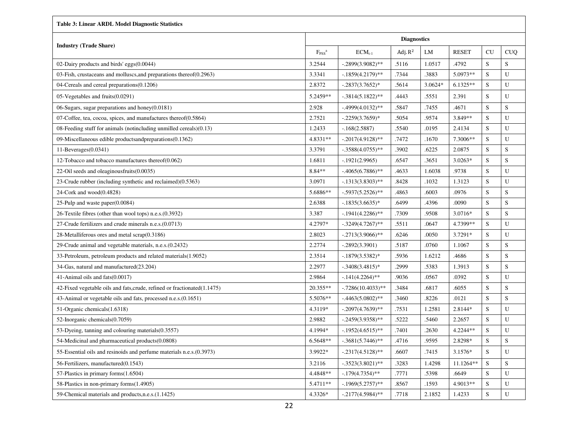| <b>Table 3: Linear ARDL Model Diagnostic Statistics</b>                  |                    |                      |            |         |              |             |             |  |  |  |
|--------------------------------------------------------------------------|--------------------|----------------------|------------|---------|--------------|-------------|-------------|--|--|--|
|                                                                          | <b>Diagnostics</b> |                      |            |         |              |             |             |  |  |  |
| <b>Industry (Trade Share)</b>                                            | $F_{PSS}^a$        | $ECM_{t-1}$          | Adj. $R^2$ | LM      | <b>RESET</b> | CU          | <b>CUQ</b>  |  |  |  |
| 02-Dairy products and birds' eggs(0.0044)                                | 3.2544             | $-.2899(3.9082)$ **  | .5116      | 1.0517  | .4792        | S           | S           |  |  |  |
| 03-Fish, crustaceans and molluscs, and preparations thereof (0.2963)     | 3.3341             | $-.1859(4.2179)$ **  | .7344      | .3883   | 5.0973**     | S           | U           |  |  |  |
| 04-Cereals and cereal preparations(0.1206)                               | 2.8372             | $-.2837(3.7652)*$    | .5614      | 3.0624* | $6.1325**$   | S           | U           |  |  |  |
| 05-Vegetables and fruits(0.0291)                                         | 5.2459**           | $-.3814(5.1822)$ **  | .4443      | .5551   | 2.391        | S           | U           |  |  |  |
| 06-Sugars, sugar preparations and honey(0.0181)                          | 2.928              | $-.4999(4.0132)$ **  | .5847      | .7455   | .4671        | S           | S           |  |  |  |
| 07-Coffee, tea, cocoa, spices, and manufactures thereof(0.5864)          | 2.7521             | $-.2259(3.7659)*$    | .5054      | .9574   | 3.849**      | S           | U           |  |  |  |
| 08-Feeding stuff for animals (notincluding unmilled cereals)(0.13)       | 1.2433             | $-.168(2.5887)$      | .5540      | .0195   | 2.4134       | S           | U           |  |  |  |
| 09-Miscellaneous edible productsand preparations (0.1362)                | 4.8331**           | $-.2017(4.9128)$ **  | .7472      | .1670   | 7.3006**     | S           | U           |  |  |  |
| $11$ -Beverages $(0.0341)$                                               | 3.3791             | $-.3588(4.0755)$ **  | .3902      | .6225   | 2.0875       | S           | S           |  |  |  |
| 12-Tobacco and tobacco manufactures thereof(0.062)                       | 1.6811             | $-.1921(2.9965)$     | .6547      | .3651   | $3.0263*$    | S           | S           |  |  |  |
| 22-Oil seeds and oleaginousfruits(0.0035)                                | 8.84**             | $-4065(6.7886)$ **   | .4633      | 1.6038  | .9738        | S           | U           |  |  |  |
| 23-Crude rubber (including synthetic and reclaimed)(0.5363)              | 3.0971             | $-.1313(3.8303)$ **  | .8428      | .1032   | 1.3123       | S           | U           |  |  |  |
| 24-Cork and wood(0.4828)                                                 | 5.6886**           | $-.5937(5.2526)$ **  | .4863      | .6003   | .0976        | S           | S           |  |  |  |
| 25-Pulp and waste paper $(0.0084)$                                       | 2.6388             | $-1835(3.6635)^*$    | .6499      | .4396   | .0090        | S           | S           |  |  |  |
| 26-Textile fibres (other than wool tops) n.e.s.(0.3932)                  | 3.387              | $-1941(4.2286)$ **   | .7309      | .9508   | 3.0716*      | S           | S           |  |  |  |
| 27-Crude fertilizers and crude minerals n.e.s. (0.0713)                  | 4.2797*            | $-.3249(4.7267)$ **  | .5511      | .0647   | 4.7399**     | $\mathbf S$ | U           |  |  |  |
| 28-Metalliferous ores and metal $scrap(0.3186)$                          | 2.8023             | $-.2713(3.9066)$ **  | .6246      | .0050   | 3.7291*      | S           | U           |  |  |  |
| 29-Crude animal and vegetable materials, n.e.s. (0.2432)                 | 2.2774             | $-.2892(3.3901)$     | .5187      | .0760   | 1.1067       | S           | S           |  |  |  |
| 33-Petroleum, petroleum products and related materials (1.9052)          | 2.3514             | $-0.1879(3.5382)$ *  | .5936      | 1.6212  | .4686        | S           | S           |  |  |  |
| 34-Gas, natural and manufactured(23.204)                                 | 2.2977             | $-.3408(3.4815)*$    | .2999      | .5383   | 1.3913       | S           | S           |  |  |  |
| 41-Animal oils and fats(0.0017)                                          | 2.9864             | $-141(4.2264)$ **    | .9036      | .0567   | .0392        | S           | U           |  |  |  |
| 42-Fixed vegetable oils and fats, crude, refined or fractionated(1.1475) | 20.355**           | $-.7286(10.4033)$ ** | .3484      | .6817   | .6055        | $\mathbf S$ | S           |  |  |  |
| 43-Animal or vegetable oils and fats, processed n.e.s. (0.1651)          | 5.5076**           | $-4463(5.0802)$ **   | .3460      | .8226   | .0121        | S           | S           |  |  |  |
| 51-Organic chemicals (1.6318)                                            | 4.3119*            | $-.2097(4.7639)$ **  | .7531      | 1.2581  | 2.8144*      | S           | U           |  |  |  |
| 52-Inorganic chemicals(0.7059)                                           | 2.9882             | $-.2459(3.9358)$ **  | .5222      | .5460   | 2.2657       | S           | U           |  |  |  |
| 53-Dyeing, tanning and colouring materials (0.3557)                      | 4.1994*            | $-.1952(4.6515)$ **  | .7401      | .2630   | 4.2244**     | S           | U           |  |  |  |
| 54-Medicinal and pharmaceutical products(0.0808)                         | 6.5648**           | $-.3681(5.7446)$ **  | .4716      | .9595   | 2.8298*      | S           | S           |  |  |  |
| 55-Essential oils and resinoids and perfume materials n.e.s. (0.3973)    | 3.9922*            | $-.2317(4.5128)$ **  | .6607      | .7415   | 3.1576*      | S           | U           |  |  |  |
| 56-Fertilizers, manufactured(0.1543)                                     | 3.2116             | $-.3523(3.8021)$ **  | .3283      | 1.4298  | 11.1264**    | S           | $\mathbf S$ |  |  |  |
| 57-Plastics in primary forms(1.6504)                                     | 4.4848**           | $-.179(4.7354)$ **   | .7771      | .5398   | .6649        | ${\bf S}$   | U           |  |  |  |
| 58-Plastics in non-primary forms(1.4905)                                 | 5.4711**           | $-1969(5.2757)$ **   | .8567      | .1593   | 4.9013**     | S           | U           |  |  |  |
| 59-Chemical materials and products, n.e.s. (1.1425)                      | 4.3326*            | $-.2177(4.5984)$ **  | .7718      | 2.1852  | 1.4233       | S           | U           |  |  |  |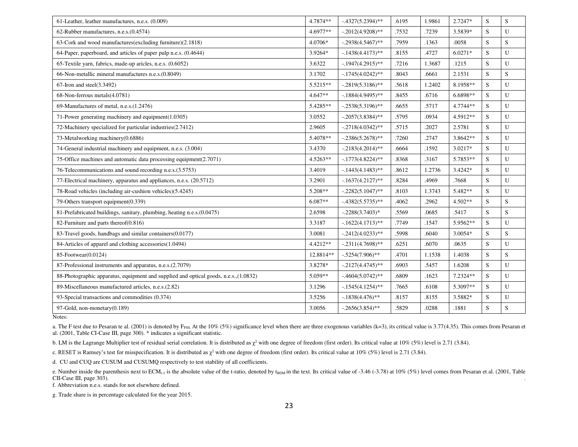| 61-Leather, leather manufactures, n.e.s. (0.009)                                      | 4.7874**   | $-0.4327(5.2394)$ ** | .6195 | 1.9861 | 2.7247*    | S  | S         |
|---------------------------------------------------------------------------------------|------------|----------------------|-------|--------|------------|----|-----------|
| 62-Rubber manufactures, n.e.s.(0.4574)                                                | 4.6977**   | $-.2012(4.9208)$ **  | .7532 | .7239  | 3.5839*    | S  | U         |
| 63-Cork and wood manufactures(excluding furniture)(2.1818)                            | 4.0706*    | $-.2938(4.5467)$ **  | .7959 | .1363  | .0058      | S. | S         |
| 64-Paper, paperboard, and articles of paper pulp n.e.s. (0.4644)                      | 3.9264*    | $-1438(4.4173)$ **   | .8155 | .4727  | $6.0271*$  | S. | U         |
| 65-Textile yarn, fabrics, made-up aricles, n.e.s. (0.6052)                            | 3.6322     | $-1947(4.2915)$ **   | .7216 | 1.3687 | .1215      | S  | U         |
| 66-Non-metallic mineral manufactures n.e.s. (0.8049)                                  | 3.1702     | $-1745(4.0242)$ **   | .8043 | .6661  | 2.1531     | S  | S         |
| $67$ -Iron and steel $(3.3492)$                                                       | 5.5215**   | $-.2819(5.3186)$ **  | .5618 | 1.2402 | 8.1958**   | S  | U         |
| 68-Non-ferrous metals(4.0781)                                                         | $4.647**$  | $-1884(4.9495)$ **   | .8455 | .6716  | 6.6898**   | S  | U         |
| 69-Manufactures of metal, n.e.s. (1.2476)                                             | 5.4285**   | $-.2538(5.3196)$ **  | .6655 | .5717  | 4.7744**   | S  | U         |
| 71-Power generating machinery and equipment(1.0305)                                   | 3.0552     | $-.2057(3.8384)$ **  | .5795 | .0934  | 4.5912**   | S  | U         |
| 72-Machinery specialized for particular industries(2.7412)                            | 2.9605     | $-.2718(4.0342)$ **  | .5715 | .2027  | 2.5781     | S  | U         |
| 73-Metalworking machinery(0.6886)                                                     | 5.4078**   | $-.2386(5.2678)$ **  | .7260 | .2747  | $3.8642**$ | S  | U         |
| 74-General industrial machinery and equipment, n.e.s. (3.004)                         | 3.4370     | $-.2183(4.2014)$ **  | .6664 | .1592  | 3.0217*    | S  | U         |
| 75-Office machines and automatic data processing equipment(2.7071)                    | $4.5263**$ | $-1773(4.8224)$ **   | .8368 | .3167  | 5.7853**   | S  | U         |
| 76-Telecommunications and sound recording n.e.s.(3.5753)                              | 3.4019     | $-1443(4.1483)$ **   | .8612 | 1.2736 | 3.4242*    | S. | U         |
| 77-Electrical machinery, apparatus and appliances, n.e.s. (20.5712)                   | 3.2901     | $-1637(4.2127)$ **   | .8284 | .4969  | .7668      | S  | U         |
| 78-Road vehicles (including air-cushion vehicles)(5.4245)                             | 5.208**    | $-.2282(5.1047)$ **  | .8103 | 1.3743 | 5.482**    | S  | ${\bf U}$ |
| 79-Others transport equipment(0.339)                                                  | $6.087**$  | $-0.4382(5.5735)$ ** | .4062 | .2962  | $4.502**$  | S  | S         |
| 81-Prefabricated buildings, sanitary, plumbing, heating n.e.s.(0.0475)                | 2.6598     | $-.2288(3.7403)*$    | .5569 | .0685  | .5417      | S  | S         |
| 82-Furniture and parts thereof(0.816)                                                 | 3.3187     | $-.1622(4.1713)*$    | .7749 | .1547  | 5.9562**   | S  | U         |
| 83-Travel goods, handbags and similar containers(0.0177)                              | 3.0081     | $-.2412(4.0233)$ **  | .5998 | .6040  | 3.0054*    | S  | S         |
| 84-Articles of apparel and clothing accessories(1.0494)                               | $4.4212**$ | $-.2311(4.7698)$ **  | .6251 | .6070  | .0635      | S  | U         |
| 85-Footwear(0.0124)                                                                   | 12.8814**  | $-.5254(7.906)$ **   | .4701 | 1.1538 | 1.4038     | S. | ${\bf S}$ |
| 87-Professional instruments and apparatus, n.e.s.(2.7079)                             | 3.8278*    | $-.2127(4.4745)$ **  | .6903 | .5457  | 1.6208     | S  | U         |
| 88-Photographic apparatus, equipment and supplied and optical goods, n.e.s., (1.0832) | $5.059**$  | $-0.4604(5.0742)$ ** | .6809 | .1623  | 7.2324**   | S  | U         |
| 89-Miscellaneous manufactured articles, n.e.s.(2.82)                                  | 3.1296     | $-.1545(4.1254)$ **  | .7665 | .6108  | 5.3097**   | S  | U         |
| 93-Special transactions and commodities (0.374)                                       | 3.5256     | $-1838(4.476)$ **    | .8157 | .8155  | 3.5882*    | S  | U         |
| 97-Gold, non-monetary(0.189)                                                          | 3.0056     | $-.2656(3.854)$ **   | .5829 | .0288  | .1881      | S  | S         |
|                                                                                       |            |                      |       |        |            |    |           |

Notes:

a. The F test due to Pesaran te al. (2001) is denoted by F<sub>PSS</sub>. At the 10% (5%) significance level when there are three exogenous variables (k=3), its critical value is 3.77(4.35). This comes from Pesaran et al. (2001, Table CI-Case III, page 300). \* indicates a significant statistic.

b. LM is the Lagrange Multiplier test of residual serial correlation. It is distributed as  $\chi^2$  with one degree of freedom (first order). Its critical value at 10% (5%) level is 2.71 (3.84).

c. RESET is Ramsey's test for misspecification. It is distributed as  $\chi^2$  with one degree of freedom (first order). Its critical value at 10% (5%) level is 2.71 (3.84).

d. CU and CUQ are CUSUM and CUSUMQ respectively to test stability of all coefficients.

e. Number inside the parenthesis next to  $ECM_{t-1}$  is the absolute value of the t-ratio, denoted by t<sub>BDM</sub> in the text. Its critical value of -3.46 (-3.78) at 10% (5%) level comes from Pesaran et al. (2001, Table CII-Case III, page 303).

f. Abbreviation n.e.s. stands for not elsewhere defined.

g. Trade share is in percentage calculated for the year 2015.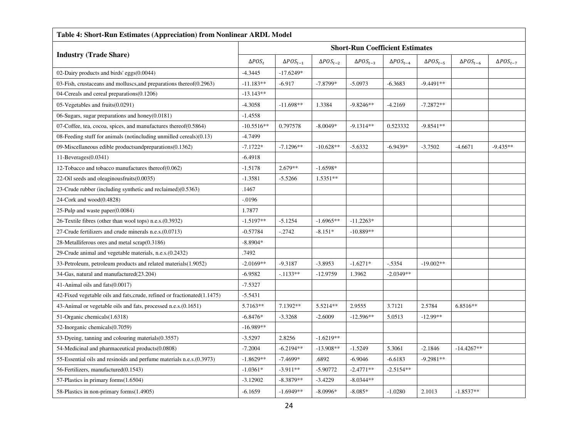| Table 4: Short-Run Estimates (Appreciation) from Nonlinear ARDL Model    |                     |                    |                    |                                        |                    |                    |                    |                    |  |
|--------------------------------------------------------------------------|---------------------|--------------------|--------------------|----------------------------------------|--------------------|--------------------|--------------------|--------------------|--|
|                                                                          |                     |                    |                    | <b>Short-Run Coefficient Estimates</b> |                    |                    |                    |                    |  |
| <b>Industry (Trade Share)</b>                                            | $\triangle POS_{t}$ | $\Delta POS_{t-1}$ | $\Delta POS_{t-2}$ | $\Delta POS_{t-3}$                     | $\Delta POS_{t-4}$ | $\Delta POS_{t-5}$ | $\Delta POS_{t-6}$ | $\Delta POS_{t-7}$ |  |
| 02-Dairy products and birds' eggs(0.0044)                                | $-4.3445$           | $-17.6249*$        |                    |                                        |                    |                    |                    |                    |  |
| 03-Fish, crustaceans and molluscs, and preparations thereof (0.2963)     | $-11.183**$         | $-6.917$           | $-7.8799*$         | $-5.0973$                              | $-6.3683$          | $-9.4491**$        |                    |                    |  |
| 04-Cereals and cereal preparations(0.1206)                               | $-13.143**$         |                    |                    |                                        |                    |                    |                    |                    |  |
| 05-Vegetables and fruits(0.0291)                                         | $-4.3058$           | $-11.698**$        | 1.3384             | $-9.8246**$                            | $-4.2169$          | $-7.2872**$        |                    |                    |  |
| 06-Sugars, sugar preparations and honey $(0.0181)$                       | $-1.4558$           |                    |                    |                                        |                    |                    |                    |                    |  |
| 07-Coffee, tea, cocoa, spices, and manufactures thereof(0.5864)          | $-10.5516**$        | 0.797578           | $-8.0049*$         | $-9.1314**$                            | 0.523332           | $-9.8541**$        |                    |                    |  |
| 08-Feeding stuff for animals (notincluding unmilled cereals)(0.13)       | $-4.7499$           |                    |                    |                                        |                    |                    |                    |                    |  |
| 09-Miscellaneous edible productsandpreparations(0.1362)                  | $-7.1722*$          | $-7.1296**$        | $-10.628**$        | $-5.6332$                              | $-6.9439*$         | $-3.7502$          | $-4.6671$          | $-9.435**$         |  |
| $11$ -Beverages $(0.0341)$                                               | $-6.4918$           |                    |                    |                                        |                    |                    |                    |                    |  |
| 12-Tobacco and tobacco manufactures thereof(0.062)                       | $-1.5178$           | $2.679**$          | $-1.6598*$         |                                        |                    |                    |                    |                    |  |
| 22-Oil seeds and oleaginousfruits(0.0035)                                | $-1.3581$           | $-5.5266$          | $1.5351**$         |                                        |                    |                    |                    |                    |  |
| 23-Crude rubber (including synthetic and reclaimed)(0.5363)              | .1467               |                    |                    |                                        |                    |                    |                    |                    |  |
| 24-Cork and wood(0.4828)                                                 | $-0.0196$           |                    |                    |                                        |                    |                    |                    |                    |  |
| 25-Pulp and waste paper $(0.0084)$                                       | 1.7877              |                    |                    |                                        |                    |                    |                    |                    |  |
| 26-Textile fibres (other than wool tops) n.e.s. (0.3932)                 | $-1.5197**$         | $-5.1254$          | $-1.6965**$        | $-11.2263*$                            |                    |                    |                    |                    |  |
| 27-Crude fertilizers and crude minerals n.e.s. (0.0713)                  | $-0.57784$          | $-.2742$           | $-8.151*$          | $-10.889**$                            |                    |                    |                    |                    |  |
| 28-Metalliferous ores and metal scrap(0.3186)                            | $-8.8904*$          |                    |                    |                                        |                    |                    |                    |                    |  |
| 29-Crude animal and vegetable materials, n.e.s. (0.2432)                 | .7492               |                    |                    |                                        |                    |                    |                    |                    |  |
| 33-Petroleum, petroleum products and related materials(1.9052)           | $-2.0169**$         | $-9.3187$          | $-3.8953$          | $-1.6271*$                             | $-.5354$           | $-19.002**$        |                    |                    |  |
| 34-Gas, natural and manufactured(23.204)                                 | $-6.9582$           | $-.1133**$         | $-12.9759$         | 1.3962                                 | $-2.0349**$        |                    |                    |                    |  |
| 41-Animal oils and fats(0.0017)                                          | $-7.5327$           |                    |                    |                                        |                    |                    |                    |                    |  |
| 42-Fixed vegetable oils and fats, crude, refined or fractionated(1.1475) | $-5.5431$           |                    |                    |                                        |                    |                    |                    |                    |  |
| 43-Animal or vegetable oils and fats, processed n.e.s. (0.1651)          | 5.7163**            | 7.1392**           | 5.5214**           | 2.9555                                 | 3.7121             | 2.5784             | 6.8516**           |                    |  |
| 51-Organic chemicals(1.6318)                                             | $-6.8476*$          | $-3.3268$          | $-2.6009$          | $-12.596**$                            | 5.0513             | $-12.99**$         |                    |                    |  |
| 52-Inorganic chemicals(0.7059)                                           | $-16.989**$         |                    |                    |                                        |                    |                    |                    |                    |  |
| 53-Dyeing, tanning and colouring materials (0.3557)                      | $-3.5297$           | 2.8256             | $-1.6219**$        |                                        |                    |                    |                    |                    |  |
| 54-Medicinal and pharmaceutical products(0.0808)                         | $-7.2004$           | $-6.2194**$        | $-13.908**$        | $-1.5249$                              | 5.3061             | $-2.1846$          | $-14.4267**$       |                    |  |
| 55-Essential oils and resinoids and perfume materials n.e.s. (0.3973)    | $-1.8629**$         | $-7.4699*$         | .6892              | $-6.9046$                              | $-6.6183$          | $-9.2981**$        |                    |                    |  |
| 56-Fertilizers, manufactured(0.1543)                                     | $-1.0361*$          | $-3.911**$         | $-5.90772$         | $-2.4771**$                            | $-2.5154**$        |                    |                    |                    |  |
| 57-Plastics in primary forms(1.6504)                                     | $-3.12902$          | $-8.3879**$        | $-3.4229$          | $-8.0344**$                            |                    |                    |                    |                    |  |
| 58-Plastics in non-primary forms(1.4905)                                 | $-6.1659$           | $-1.6949**$        | $-8.0996*$         | $-8.085*$                              | $-1.0280$          | 2.1013             | $-1.8537**$        |                    |  |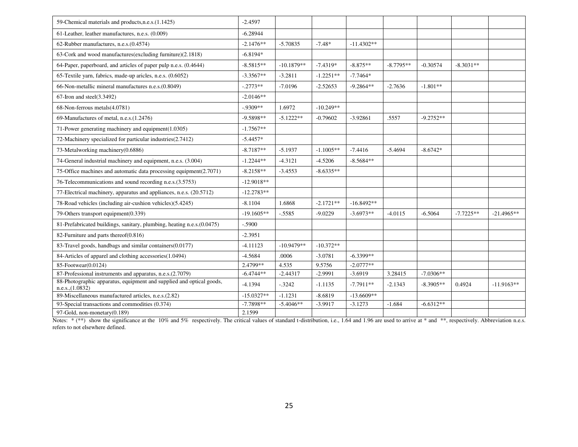| 59-Chemical materials and products, n.e.s. (1.1425)                                      | $-2.4597$    |              |             |              |             |             |             |              |
|------------------------------------------------------------------------------------------|--------------|--------------|-------------|--------------|-------------|-------------|-------------|--------------|
| 61-Leather, leather manufactures, n.e.s. (0.009)                                         | $-6.28944$   |              |             |              |             |             |             |              |
| 62-Rubber manufactures, n.e.s.(0.4574)                                                   | $-2.1476**$  | $-5.70835$   | $-7.48*$    | $-11.4302**$ |             |             |             |              |
| 63-Cork and wood manufactures(excluding furniture)(2.1818)                               | $-6.8194*$   |              |             |              |             |             |             |              |
| 64-Paper, paperboard, and articles of paper pulp n.e.s. (0.4644)                         | $-8.5815**$  | $-10.1879**$ | $-7.4319*$  | $-8.875**$   | $-8.7795**$ | $-0.30574$  | $-8.3031**$ |              |
| 65-Textile yarn, fabrics, made-up aricles, n.e.s. (0.6052)                               | $-3.3567**$  | $-3.2811$    | $-1.2251**$ | $-7.7464*$   |             |             |             |              |
| 66-Non-metallic mineral manufactures n.e.s.(0.8049)                                      | $-.2773**$   | $-7.0196$    | $-2.52653$  | $-9.2864**$  | $-2.7636$   | $-1.801**$  |             |              |
| $67$ -Iron and steel $(3.3492)$                                                          | $-2.0146**$  |              |             |              |             |             |             |              |
| 68-Non-ferrous metals(4.0781)                                                            | $-9309**$    | 1.6972       | $-10.249**$ |              |             |             |             |              |
| 69-Manufactures of metal, n.e.s.(1.2476)                                                 | $-9.5898**$  | $-5.1222**$  | $-0.79602$  | $-3.92861$   | .5557       | $-9.2752**$ |             |              |
| 71-Power generating machinery and equipment(1.0305)                                      | $-1.7567**$  |              |             |              |             |             |             |              |
| 72-Machinery specialized for particular industries(2.7412)                               | $-5.4457*$   |              |             |              |             |             |             |              |
| 73-Metalworking machinery(0.6886)                                                        | $-8.7187**$  | $-5.1937$    | $-1.1005**$ | $-7.4416$    | $-5.4694$   | $-8.6742*$  |             |              |
| 74-General industrial machinery and equipment, n.e.s. (3.004)                            | $-1.2244**$  | $-4.3121$    | $-4.5206$   | $-8.5684**$  |             |             |             |              |
| 75-Office machines and automatic data processing equipment(2.7071)                       | $-8.2158**$  | $-3.4553$    | $-8.6335**$ |              |             |             |             |              |
| 76-Telecommunications and sound recording n.e.s.(3.5753)                                 | $-12.9018**$ |              |             |              |             |             |             |              |
| 77-Electrical machinery, apparatus and appliances, n.e.s. (20.5712)                      | $-12.2783**$ |              |             |              |             |             |             |              |
| 78-Road vehicles (including air-cushion vehicles)(5.4245)                                | $-8.1104$    | 1.6868       | $-2.1721**$ | $-16.8492**$ |             |             |             |              |
| 79-Others transport equipment(0.339)                                                     | $-19.1605**$ | $-.5585$     | $-9.0229$   | $-3.6973**$  | $-4.0115$   | $-6.5064$   | $-7.7225**$ | $-21.4965**$ |
| 81-Prefabricated buildings, sanitary, plumbing, heating n.e.s.(0.0475)                   | $-.5900$     |              |             |              |             |             |             |              |
| 82-Furniture and parts thereof(0.816)                                                    | $-2.3951$    |              |             |              |             |             |             |              |
| 83-Travel goods, handbags and similar containers(0.0177)                                 | $-4.11123$   | $-10.9479**$ | $-10.372**$ |              |             |             |             |              |
| 84-Articles of apparel and clothing accessories(1.0494)                                  | $-4.5684$    | .0006        | $-3.0781$   | $-6.3399**$  |             |             |             |              |
| 85-Footwear(0.0124)                                                                      | $2.4799**$   | 4.535        | 9.5756      | $-2.0777**$  |             |             |             |              |
| 87-Professional instruments and apparatus, n.e.s.(2.7079)                                | $-6.4744**$  | $-2.44317$   | $-2.9991$   | $-3.6919$    | 3.28415     | $-7.0306**$ |             |              |
| 88-Photographic apparatus, equipment and supplied and optical goods,<br>n.e.s., (1.0832) | $-4.1394$    | $-.3242$     | $-1.1135$   | $-7.7911**$  | $-2.1343$   | $-8.3905**$ | 0.4924      | $-11.9163**$ |
| 89-Miscellaneous manufactured articles, n.e.s.(2.82)                                     | $-15.0327**$ | $-1.1231$    | $-8.6819$   | $-13.6609**$ |             |             |             |              |
| 93-Special transactions and commodities (0.374)                                          | $-7.7898**$  | $-5.4046**$  | $-3.9917$   | $-3.1273$    | $-1.684$    | $-6.6312**$ |             |              |
| 97-Gold, non-monetary(0.189)                                                             | 2.1599       |              |             |              |             |             |             |              |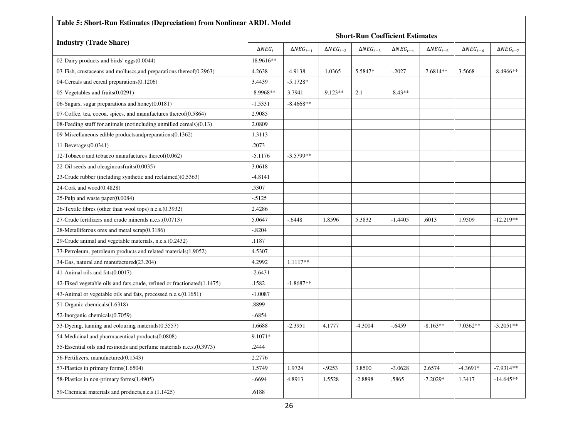| Table 5: Short-Run Estimates (Depreciation) from Nonlinear ARDL Model     |                |                    |                    |                                        |                       |                    |                    |                    |  |
|---------------------------------------------------------------------------|----------------|--------------------|--------------------|----------------------------------------|-----------------------|--------------------|--------------------|--------------------|--|
|                                                                           |                |                    |                    | <b>Short-Run Coefficient Estimates</b> |                       |                    |                    |                    |  |
| <b>Industry (Trade Share)</b>                                             | $\Delta NEG_t$ | $\Delta NEG_{t-1}$ | $\Delta NEG_{t-2}$ | $\Delta NEG_{t-3}$                     | $\triangle NEG_{t-4}$ | $\Delta NEG_{t-5}$ | $\Delta NEG_{t-6}$ | $\Delta NEG_{t-7}$ |  |
| 02-Dairy products and birds' eggs(0.0044)                                 | 18.9616**      |                    |                    |                                        |                       |                    |                    |                    |  |
| 03-Fish, crustaceans and molluscs, and preparations thereof (0.2963)      | 4.2638         | $-4.9138$          | $-1.0365$          | 5.5847*                                | $-.2027$              | $-7.6814**$        | 3.5668             | $-8.4966**$        |  |
| 04-Cereals and cereal preparations (0.1206)                               | 3.4439         | $-5.1728*$         |                    |                                        |                       |                    |                    |                    |  |
| 05-Vegetables and fruits(0.0291)                                          | $-8.9968**$    | 3.7941             | $-9.123**$         | 2.1                                    | $-8.43**$             |                    |                    |                    |  |
| 06-Sugars, sugar preparations and honey(0.0181)                           | $-1.5331$      | $-8.4668**$        |                    |                                        |                       |                    |                    |                    |  |
| 07-Coffee, tea, cocoa, spices, and manufactures thereof $(0.5864)$        | 2.9085         |                    |                    |                                        |                       |                    |                    |                    |  |
| 08-Feeding stuff for animals (notincluding unmilled cereals)(0.13)        | 2.0809         |                    |                    |                                        |                       |                    |                    |                    |  |
| 09-Miscellaneous edible productsandpreparations(0.1362)                   | 1.3113         |                    |                    |                                        |                       |                    |                    |                    |  |
| $11$ -Beverages $(0.0341)$                                                | .2073          |                    |                    |                                        |                       |                    |                    |                    |  |
| 12-Tobacco and tobacco manufactures thereof(0.062)                        | $-5.1176$      | $-3.5799**$        |                    |                                        |                       |                    |                    |                    |  |
| 22-Oil seeds and oleaginousfruits(0.0035)                                 | 3.0618         |                    |                    |                                        |                       |                    |                    |                    |  |
| 23-Crude rubber (including synthetic and reclaimed)(0.5363)               | $-4.8141$      |                    |                    |                                        |                       |                    |                    |                    |  |
| 24-Cork and wood(0.4828)                                                  | .5307          |                    |                    |                                        |                       |                    |                    |                    |  |
| 25-Pulp and waste paper $(0.0084)$                                        | $-5125$        |                    |                    |                                        |                       |                    |                    |                    |  |
| 26-Textile fibres (other than wool tops) n.e.s. (0.3932)                  | 2.4286         |                    |                    |                                        |                       |                    |                    |                    |  |
| 27-Crude fertilizers and crude minerals n.e.s. (0.0713)                   | 5.0647         | $-.6448$           | 1.8596             | 5.3832                                 | $-1.4405$             | .6013              | 1.9509             | $-12.219**$        |  |
| 28-Metalliferous ores and metal scrap(0.3186)                             | $-.8204$       |                    |                    |                                        |                       |                    |                    |                    |  |
| 29-Crude animal and vegetable materials, n.e.s. (0.2432)                  | .1187          |                    |                    |                                        |                       |                    |                    |                    |  |
| 33-Petroleum, petroleum products and related materials(1.9052)            | 4.5307         |                    |                    |                                        |                       |                    |                    |                    |  |
| 34-Gas, natural and manufactured(23.204)                                  | 4.2992         | 1.1117**           |                    |                                        |                       |                    |                    |                    |  |
| 41-Animal oils and fats(0.0017)                                           | $-2.6431$      |                    |                    |                                        |                       |                    |                    |                    |  |
| 42-Fixed vegetable oils and fats, crude, refined or fractionated (1.1475) | .1582          | $-1.8687**$        |                    |                                        |                       |                    |                    |                    |  |
| 43-Animal or vegetable oils and fats, processed n.e.s. (0.1651)           | $-1.0087$      |                    |                    |                                        |                       |                    |                    |                    |  |
| 51-Organic chemicals (1.6318)                                             | .8899          |                    |                    |                                        |                       |                    |                    |                    |  |
| 52-Inorganic chemicals(0.7059)                                            | $-0.6854$      |                    |                    |                                        |                       |                    |                    |                    |  |
| 53-Dyeing, tanning and colouring materials (0.3557)                       | 1.6688         | $-2.3951$          | 4.1777             | $-4.3004$                              | $-.6459$              | $-8.163**$         | 7.0362**           | $-3.2051**$        |  |
| 54-Medicinal and pharmaceutical products(0.0808)                          | 9.1071*        |                    |                    |                                        |                       |                    |                    |                    |  |
| 55-Essential oils and resinoids and perfume materials n.e.s. (0.3973)     | .2444          |                    |                    |                                        |                       |                    |                    |                    |  |
| 56-Fertilizers, manufactured(0.1543)                                      | 2.2776         |                    |                    |                                        |                       |                    |                    |                    |  |
| 57-Plastics in primary forms(1.6504)                                      | 1.5749         | 1.9724             | $-0.9253$          | 3.8500                                 | $-3.0628$             | 2.6574             | $-4.3691*$         | $-7.9314**$        |  |
| 58-Plastics in non-primary forms(1.4905)                                  | $-6694$        | 4.8913             | 1.5528             | $-2.8898$                              | .5865                 | $-7.2029*$         | 1.3417             | $-14.645**$        |  |
| 59-Chemical materials and products, n.e.s. (1.1425)                       | .6188          |                    |                    |                                        |                       |                    |                    |                    |  |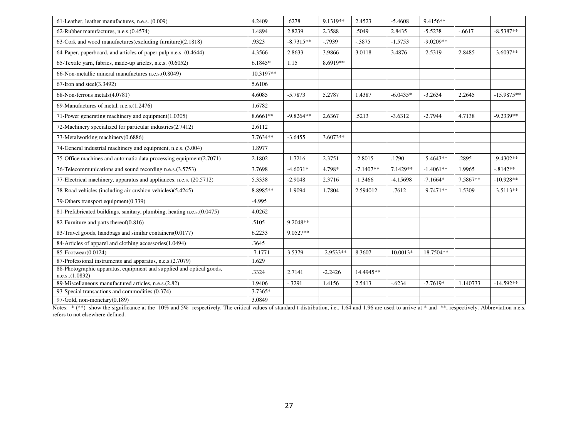| 61-Leather, leather manufactures, n.e.s. (0.009)                                         | 4.2409    | .6278       | 9.1319**    | 2.4523      | $-5.4608$  | 9.4156**    |          |              |
|------------------------------------------------------------------------------------------|-----------|-------------|-------------|-------------|------------|-------------|----------|--------------|
| 62-Rubber manufactures, n.e.s. (0.4574)                                                  | 1.4894    | 2.8239      | 2.3588      | .5049       | 2.8435     | $-5.5238$   | $-.6617$ | $-8.5387**$  |
| 63-Cork and wood manufactures (excluding furniture) (2.1818)                             | .9323     | $-8.7315**$ | $-0.7939$   | $-.3875$    | $-1.5753$  | $-9.0209**$ |          |              |
| 64-Paper, paperboard, and articles of paper pulp n.e.s. (0.4644)                         | 4.3566    | 2.8633      | 3.9866      | 3.0118      | 3.4876     | $-2.5319$   | 2.8485   | $-3.6037**$  |
| 65-Textile yarn, fabrics, made-up aricles, n.e.s. (0.6052)                               | $6.1845*$ | 1.15        | 8.6919**    |             |            |             |          |              |
| 66-Non-metallic mineral manufactures n.e.s. (0.8049)                                     | 10.3197** |             |             |             |            |             |          |              |
| $67$ -Iron and steel $(3.3492)$                                                          | 5.6106    |             |             |             |            |             |          |              |
| 68-Non-ferrous metals(4.0781)                                                            | 4.6085    | $-5.7873$   | 5.2787      | 1.4387      | $-6.0435*$ | $-3.2634$   | 2.2645   | $-15.9875**$ |
| 69-Manufactures of metal, n.e.s. (1.2476)                                                | 1.6782    |             |             |             |            |             |          |              |
| 71-Power generating machinery and equipment(1.0305)                                      | 8.6661**  | $-9.8264**$ | 2.6367      | .5213       | $-3.6312$  | $-2.7944$   | 4.7138   | $-9.2339**$  |
| 72-Machinery specialized for particular industries(2.7412)                               | 2.6112    |             |             |             |            |             |          |              |
| 73-Metalworking machinery(0.6886)                                                        | 7.7634**  | $-3.6455$   | $3.6073**$  |             |            |             |          |              |
| 74-General industrial machinery and equipment, n.e.s. (3.004)                            | 1.8977    |             |             |             |            |             |          |              |
| 75-Office machines and automatic data processing equipment(2.7071)                       | 2.1802    | $-1.7216$   | 2.3751      | $-2.8015$   | .1790      | $-5.4643**$ | .2895    | $-9.4302**$  |
| 76-Telecommunications and sound recording n.e.s.(3.5753)                                 | 3.7698    | $-4.6031*$  | 4.798*      | $-7.1407**$ | 7.1429**   | $-1.4061**$ | 1.9965   | $-8142**$    |
| 77-Electrical machinery, apparatus and appliances, n.e.s. (20.5712)                      | 5.3338    | $-2.9048$   | 2.3716      | $-1.3466$   | $-4.15698$ | $-7.1664*$  | 7.5867** | $-10.928**$  |
| 78-Road vehicles (including air-cushion vehicles)(5.4245)                                | 8.8985**  | $-1.9094$   | 1.7804      | 2.594012    | $-7612$    | $-9.7471**$ | 1.5309   | $-3.5113**$  |
| 79-Others transport equipment(0.339)                                                     | $-4.995$  |             |             |             |            |             |          |              |
| 81-Prefabricated buildings, sanitary, plumbing, heating n.e.s. (0.0475)                  | 4.0262    |             |             |             |            |             |          |              |
| 82-Furniture and parts thereof $(0.816)$                                                 | .5105     | 9.2048**    |             |             |            |             |          |              |
| 83-Travel goods, handbags and similar containers(0.0177)                                 | 6.2233    | $9.0527**$  |             |             |            |             |          |              |
| 84-Articles of apparel and clothing accessories(1.0494)                                  | .3645     |             |             |             |            |             |          |              |
| 85-Footwear(0.0124)                                                                      | $-7.1771$ | 3.5379      | $-2.9533**$ | 8.3607      | $10.0013*$ | 18.7504**   |          |              |
| 87-Professional instruments and apparatus, n.e.s.(2.7079)                                | 1.629     |             |             |             |            |             |          |              |
| 88-Photographic apparatus, equipment and supplied and optical goods,<br>n.e.s., (1.0832) | .3324     | 2.7141      | $-2.2426$   | 14.4945**   |            |             |          |              |
| 89-Miscellaneous manufactured articles, n.e.s.(2.82)                                     | 1.9406    | $-.3291$    | 1.4156      | 2.5413      | $-.6234$   | $-7.7619*$  | 1.140733 | $-14.592**$  |
| 93-Special transactions and commodities (0.374)                                          | 3.7365*   |             |             |             |            |             |          |              |
| 97-Gold, non-monetary(0.189)                                                             | 3.0849    |             |             |             |            |             |          |              |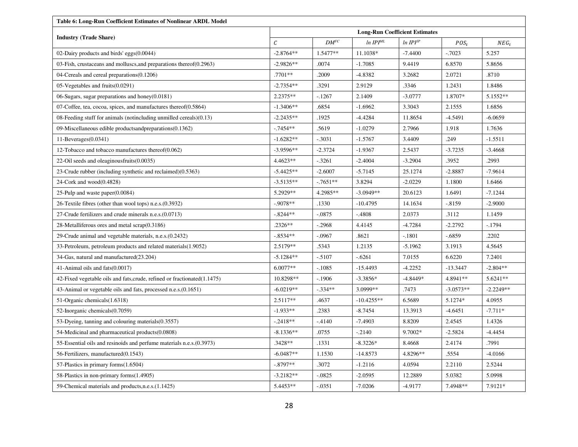| Table 6: Long-Run Coefficient Estimates of Nonlinear ARDL Model           |                   |                         |                                       |               |             |             |  |  |  |
|---------------------------------------------------------------------------|-------------------|-------------------------|---------------------------------------|---------------|-------------|-------------|--|--|--|
|                                                                           |                   |                         | <b>Long-Run Coefficient Estimates</b> |               |             |             |  |  |  |
| <b>Industry (Trade Share)</b>                                             | $\mathcal{C}_{0}$ | ${\cal D}{\cal M}^{FC}$ | ln IPI <sup>ML</sup>                  | $ln IPI^{IP}$ | $POS_{t}$   | $NEG_{t}$   |  |  |  |
| 02-Dairy products and birds' eggs(0.0044)                                 | $-2.8764**$       | $1.5477**$              | 11.1038*                              | $-7.4400$     | $-.7023$    | 5.257       |  |  |  |
| 03-Fish, crustaceans and molluscs, and preparations thereof $(0.2963)$    | $-2.9826**$       | .0074                   | $-1.7085$                             | 9.4419        | 6.8570      | 5.8656      |  |  |  |
| 04-Cereals and cereal preparations(0.1206)                                | .7701**           | .2009                   | $-4.8382$                             | 3.2682        | 2.0721      | .8710       |  |  |  |
| 05-Vegetables and fruits(0.0291)                                          | $-2.7354**$       | .3291                   | 2.9129                                | .3346         | 1.2431      | 1.8486      |  |  |  |
| 06-Sugars, sugar preparations and honey $(0.0181)$                        | 2.2375**          | -.1267                  | 2.1409                                | $-3.0777$     | 1.8707*     | 5.1552**    |  |  |  |
| 07-Coffee, tea, cocoa, spices, and manufactures thereof $(0.5864)$        | $-1.3406**$       | .6854                   | $-1.6962$                             | 3.3043        | 2.1555      | 1.6856      |  |  |  |
| 08-Feeding stuff for animals (notincluding unmilled cereals) $(0.13)$     | $-2.2435**$       | .1925                   | $-4.4284$                             | 11.8654       | $-4.5491$   | $-6.0659$   |  |  |  |
| 09-Miscellaneous edible productsandpreparations(0.1362)                   | $-.7454**$        | .5619                   | $-1.0279$                             | 2.7966        | 1.918       | 1.7636      |  |  |  |
| $11$ -Beverages $(0.0341)$                                                | $-1.6282**$       | $-.3031$                | $-1.5767$                             | 3.4409        | .249        | $-1.5511$   |  |  |  |
| 12-Tobacco and tobacco manufactures thereof $(0.062)$                     | $-3.9596**$       | $-2.3724$               | $-1.9367$                             | 2.5437        | $-3.7235$   | $-3.4668$   |  |  |  |
| 22-Oil seeds and oleaginous fruits $(0.0035)$                             | $4.4623**$        | -.3261                  | $-2.4004$                             | $-3.2904$     | .3952       | .2993       |  |  |  |
| 23-Crude rubber (including synthetic and reclaimed)(0.5363)               | $-5.4425**$       | $-2.6007$               | $-5.7145$                             | 25.1274       | $-2.8887$   | $-7.9614$   |  |  |  |
| 24-Cork and $wood(0.4828)$                                                | $-3.5135**$       | $-7651**$               | 3.8294                                | $-2.0229$     | 1.1800      | 1.6466      |  |  |  |
| 25-Pulp and waste paper $(0.0084)$                                        | 5.2929**          | 4.2985**                | $-3.0949**$                           | 20.6123       | 1.6491      | $-7.1244$   |  |  |  |
| 26-Textile fibres (other than wool tops) n.e.s. (0.3932)                  | $-9078**$         | .1330                   | $-10.4795$                            | 14.1634       | $-8159$     | $-2.9000$   |  |  |  |
| 27-Crude fertilizers and crude minerals n.e.s. (0.0713)                   | $-8244**$         | $-.0875$                | $-.4808$                              | 2.0373        | .3112       | 1.1459      |  |  |  |
| 28-Metalliferous ores and metal $scrap(0.3186)$                           | $.2326**$         | $-.2968$                | 4.4145                                | $-4.7284$     | $-2.2792$   | $-1794$     |  |  |  |
| 29-Crude animal and vegetable materials, n.e.s. (0.2432)                  | $-8534**$         | $-.0967$                | .8621                                 | $-.1801$      | $-0.6859$   | .2202       |  |  |  |
| 33-Petroleum, petroleum products and related materials (1.9052)           | 2.5179**          | .5343                   | 1.2135                                | $-5.1962$     | 3.1913      | 4.5645      |  |  |  |
| 34-Gas, natural and manufactured(23.204)                                  | $-5.1284**$       | -.5107                  | $-.6261$                              | 7.0155        | 6.6220      | 7.2401      |  |  |  |
| 41-Animal oils and fats(0.0017)                                           | 6.0077**          | $-.1085$                | $-15.4493$                            | $-4.2252$     | $-13.3447$  | $-2.804**$  |  |  |  |
| 42-Fixed vegetable oils and fats, crude, refined or fractionated (1.1475) | 10.8298**         | $-.1906$                | $-3.3856*$                            | $-4.8449*$    | 4.8941**    | 5.6241**    |  |  |  |
| 43-Animal or vegetable oils and fats, processed n.e.s. (0.1651)           | $-6.0219**$       | $-.334**$               | 3.0999**                              | .7473         | $-3.0573**$ | $-2.2249**$ |  |  |  |
| 51-Organic chemicals (1.6318)                                             | $2.5117**$        | .4637                   | $-10.4255**$                          | 6.5689        | 5.1274*     | 4.0955      |  |  |  |
| 52-Inorganic chemicals(0.7059)                                            | $-1.933**$        | .2383                   | $-8.7454$                             | 13.3913       | $-4.6451$   | $-7.711*$   |  |  |  |
| 53-Dyeing, tanning and colouring materials (0.3557)                       | $-.2418**$        | $-4140$                 | $-7.4903$                             | 8.8209        | 2.4545      | 1.4326      |  |  |  |
| 54-Medicinal and pharmaceutical products(0.0808)                          | $-8.1336**$       | .0755                   | $-.2140$                              | 9.7002*       | $-2.5824$   | $-4.4454$   |  |  |  |
| 55-Essential oils and resinoids and perfume materials n.e.s. (0.3973)     | $.3428**$         | .1331                   | $-8.3226*$                            | 8.4668        | 2.4174      | .7991       |  |  |  |
| 56-Fertilizers, manufactured(0.1543)                                      | $-6.0487**$       | 1.1530                  | $-14.8573$                            | 4.8296**      | .5554       | $-4.0166$   |  |  |  |
| 57-Plastics in primary forms(1.6504)                                      | $-.8797**$        | .3072                   | $-1.2116$                             | 4.0594        | 2.2110      | 2.5244      |  |  |  |
| 58-Plastics in non-primary forms(1.4905)                                  | $-3.2182**$       | $-.0825$                | $-2.0595$                             | 12.2889       | 5.0382      | 5.0998      |  |  |  |
| 59-Chemical materials and products, n.e.s. (1.1425)                       | 5.4453**          | $-.0351$                | $-7.0206$                             | $-4.9177$     | 7.4948**    | 7.9121*     |  |  |  |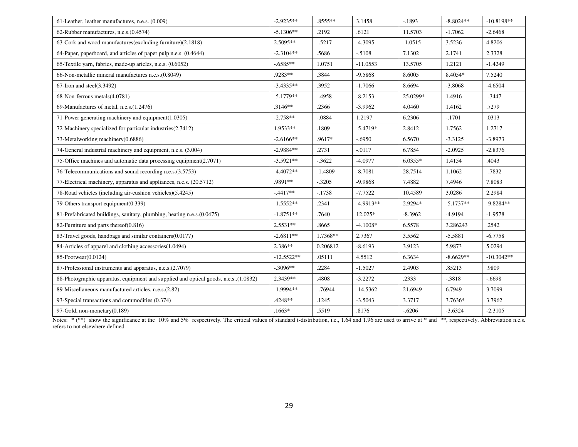| 61-Leather, leather manufactures, n.e.s. (0.009)                                      | $-2.9235**$  | $.8555***$ | 3.1458      | $-1893$   | $-8.8024**$ | $-10.8198**$ |
|---------------------------------------------------------------------------------------|--------------|------------|-------------|-----------|-------------|--------------|
| 62-Rubber manufactures, n.e.s. (0.4574)                                               | $-5.1306**$  | .2192      | .6121       | 11.5703   | $-1.7062$   | $-2.6468$    |
| 63-Cork and wood manufactures (excluding furniture) (2.1818)                          | $2.5095**$   | $-5217$    | $-4.3095$   | $-1.0515$ | 3.5236      | 4.8206       |
| 64-Paper, paperboard, and articles of paper pulp n.e.s. (0.4644)                      | $-2.3104**$  | .5686      | $-.5108$    | 7.1302    | 2.1741      | 2.3328       |
| 65-Textile yarn, fabrics, made-up aricles, n.e.s. (0.6052)                            | $-.6585**$   | 1.0751     | $-11.0553$  | 13.5705   | 1.2121      | $-1.4249$    |
| 66-Non-metallic mineral manufactures n.e.s.(0.8049)                                   | .9283**      | .3844      | $-9.5868$   | 8.6005    | 8.4054*     | 7.5240       |
| $67$ -Iron and steel $(3.3492)$                                                       | $-3.4335**$  | .3952      | $-1.7066$   | 8.6694    | $-3.8068$   | $-4.6504$    |
| 68-Non-ferrous metals(4.0781)                                                         | $-5.1779**$  | $-4958$    | $-8.2153$   | 25.0299*  | 1.4916      | $-.3447$     |
| 69-Manufactures of metal, n.e.s. (1.2476)                                             | $.3146**$    | .2366      | $-3.9962$   | 4.0460    | 1.4162      | .7279        |
| 71-Power generating machinery and equipment(1.0305)                                   | $-2.758**$   | $-.0884$   | 1.2197      | 6.2306    | $-.1701$    | .0313        |
| 72-Machinery specialized for particular industries (2.7412)                           | 1.9533**     | .1809      | $-5.4719*$  | 2.8412    | 1.7562      | 1.2717       |
| 73-Metalworking machinery(0.6886)                                                     | $-2.6166**$  | .9617*     | $-.6950$    | 6.5670    | $-3.3125$   | $-3.8973$    |
| 74-General industrial machinery and equipment, n.e.s. (3.004)                         | $-2.9884**$  | .2731      | $-0.0117$   | 6.7854    | $-2.0925$   | $-2.8376$    |
| 75-Office machines and automatic data processing equipment(2.7071)                    | $-3.5921**$  | $-.3622$   | $-4.0977$   | $6.0355*$ | 1.4154      | .4043        |
| 76-Telecommunications and sound recording n.e.s.(3.5753)                              | $-4.4072**$  | $-1.4809$  | $-8.7081$   | 28.7514   | 1.1062      | $-0.7832$    |
| 77-Electrical machinery, apparatus and appliances, n.e.s. (20.5712)                   | .9891**      | $-.3205$   | -9.9868     | 7.4882    | 7.4946      | 7.8083       |
| 78-Road vehicles (including air-cushion vehicles)(5.4245)                             | $-.4417**$   | $-.1738$   | $-7.7522$   | 10.4589   | 3.0286      | 2.2984       |
| 79-Others transport equipment(0.339)                                                  | $-1.5552**$  | .2341      | $-4.9913**$ | 2.9294*   | $-5.1737**$ | $-9.8284**$  |
| 81-Prefabricated buildings, sanitary, plumbing, heating n.e.s.(0.0475)                | $-1.8751**$  | .7640      | 12.025*     | $-8.3962$ | $-4.9194$   | $-1.9578$    |
| 82-Furniture and parts thereof(0.816)                                                 | $2.5531**$   | .8665      | $-4.1008*$  | 6.5578    | 3.286243    | .2542        |
| 83-Travel goods, handbags and similar containers(0.0177)                              | $-2.6811**$  | 1.7368**   | 2.7367      | 3.5562    | $-5.5881$   | $-6.7758$    |
| 84-Articles of apparel and clothing accessories(1.0494)                               | $2.386**$    | 0.206812   | $-8.6193$   | 3.9123    | 5.9873      | 5.0294       |
| 85-Footwear(0.0124)                                                                   | $-12.5522**$ | .05111     | 4.5512      | 6.3634    | $-8.6629**$ | $-10.3042**$ |
| 87-Professional instruments and apparatus, n.e.s.(2.7079)                             | $-.3096**$   | .2284      | $-1.5027$   | 2.4903    | .85213      | .9809        |
| 88-Photographic apparatus, equipment and supplied and optical goods, n.e.s., (1.0832) | 2.3439**     | .4808      | $-3.2272$   | .2333     | $-.3818$    | $-0.6698$    |
| 89-Miscellaneous manufactured articles, n.e.s.(2.82)                                  | $-1.9994**$  | $-76944$   | $-14.5362$  | 21.6949   | 6.7949      | 3.7099       |
| 93-Special transactions and commodities (0.374)                                       | .4248**      | .1245      | $-3.5043$   | 3.3717    | 3.7636*     | 3.7962       |
| 97-Gold, non-monetary(0.189)                                                          | $.1663*$     | .5519      | .8176       | $-.6206$  | $-3.6324$   | $-2.3105$    |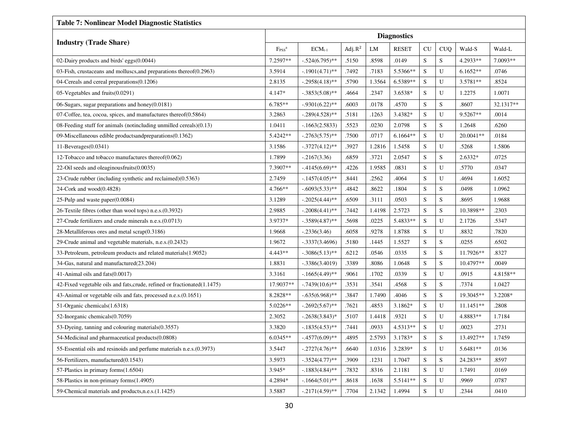| <b>Table 7: Nonlinear Model Diagnostic Statistics</b>                    |                               |                    |            |        |              |             |            |            |           |
|--------------------------------------------------------------------------|-------------------------------|--------------------|------------|--------|--------------|-------------|------------|------------|-----------|
| <b>Industry (Trade Share)</b>                                            | <b>Diagnostics</b>            |                    |            |        |              |             |            |            |           |
|                                                                          | F <sub>PSS</sub> <sup>a</sup> | $ECM_{t-1}$        | Adj. $R^2$ | LM     | <b>RESET</b> | CU          | <b>CUQ</b> | Wald-S     | Wald-L    |
| 02-Dairy products and birds' eggs $(0.0044)$                             | 7.2597**                      | $-0.524(6.795)$ ** | .5150      | .8598  | .0149        | S           | S          | 4.2933**   | 7.0093**  |
| 03-Fish, crustaceans and molluscs, and preparations thereof (0.2963)     | 3.5914                        | $-1901(4.71)$ **   | .7492      | .7183  | 5.5366**     | S           | U          | $6.1652**$ | .0746     |
| 04-Cereals and cereal preparations(0.1206)                               | 2.8135                        | $-.2958(4.18)$ **  | .5790      | 1.3564 | 6.5389**     | S           | U          | 3.5781**   | .8524     |
| 05-Vegetables and fruits(0.0291)                                         | 4.147*                        | $-.3853(5.08)$ **  | .4664      | .2347  | 3.6538*      | S           | U          | 1.2275     | 1.0071    |
| 06-Sugars, sugar preparations and honey(0.0181)                          | 6.785**                       | $-.9301(6.22)$ **  | .6003      | .0178  | .4570        | S           | S          | .8607      | 32.1317** |
| 07-Coffee, tea, cocoa, spices, and manufactures thereof $(0.5864)$       | 3.2863                        | $-.289(4.528)$ **  | .5181      | .1263  | 3.4382*      | S           | U          | 9.5267**   | .0014     |
| 08-Feeding stuff for animals (notincluding unmilled cereals) $(0.13)$    | 1.0411                        | $-1663(2.5833)$    | .5523      | .0230  | 2.0798       | S           | S          | 1.2648     | .6260     |
| 09-Miscellaneous edible productsandpreparations(0.1362)                  | 5.4242**                      | $-.2763(5.75)$ **  | .7500      | .0717  | $6.1664**$   | S           | U          | 20.0041**  | .0184     |
| 11-Beverages $(0.0341)$                                                  | 3.1586                        | $-.3727(4.12)$ **  | .3927      | 1.2816 | 1.5458       | S           | U          | .5268      | 1.5806    |
| 12-Tobacco and tobacco manufactures thereof $(0.062)$                    | 1.7899                        | $-2167(3.36)$      | .6859      | .3721  | 2.0547       | S           | S          | $2.6332*$  | .0725     |
| 22-Oil seeds and oleaginousfruits(0.0035)                                | 7.3907**                      | $-4145(6.69)$ **   | .4226      | 1.9585 | .0831        | S           | U          | .5770      | .0347     |
| 23-Crude rubber (including synthetic and reclaimed)(0.5363)              | 2.7459                        | $-.1457(4.05)$ **  | .8441      | .2562  | 4064         | S           | U          | .4694      | 1.6052    |
| 24-Cork and wood $(0.4828)$                                              | 4.766**                       | $-.6093(5.33)$ **  | .4842      | .8622  | .1804        | S           | S          | .0498      | 1.0962    |
| 25-Pulp and waste paper $(0.0084)$                                       | 3.1289                        | $-.2025(4.44)$ **  | .6509      | .3111  | .0503        | S           | S          | .8695      | 1.9688    |
| 26-Textile fibres (other than wool tops) n.e.s. (0.3932)                 | 2.9885                        | $-.2008(4.41)$ **  | .7442      | 1.4198 | 2.5723       | S           | S          | 10.3898**  | .2303     |
| 27-Crude fertilizers and crude minerals n.e.s. (0.0713)                  | 3.9737*                       | $-.3589(4.87)$ **  | .5698      | .0225  | 5.4833**     | S           | U          | 2.1726     | .5347     |
| 28-Metalliferous ores and metal $scrap(0.3186)$                          | 1.9668                        | $-.2336(3.46)$     | .6058      | .9278  | 1.8788       | $\mathbf S$ | U          | .8832      | .7820     |
| 29-Crude animal and vegetable materials, n.e.s. (0.2432)                 | 1.9672                        | $-0.3337(3.4696)$  | .5180      | .1445  | 1.5527       | S           | S          | .0255      | .6502     |
| 33-Petroleum, petroleum products and related materials(1.9052)           | 4.443**                       | $-.3086(5.13)$ **  | .6212      | .0546  | .0335        | ${\bf S}$   | ${\bf S}$  | 11.7926**  | .8327     |
| 34-Gas, natural and manufactured(23.204)                                 | 1.8831                        | $-.3386(3.4019)$   | .3389      | .8086  | 1.0648       | S           | S          | 10.4797**  | .0049     |
| 41-Animal oils and fats(0.0017)                                          | 3.3161                        | $-1665(4.49)$ **   | .9061      | .1702  | .0339        | S           | U          | .0915      | 4.8158**  |
| 42-Fixed vegetable oils and fats, crude, refined or fractionated(1.1475) | 17.9037**                     | $-.7439(10.6)$ **  | .3531      | .3541  | .4568        | S           | S          | .7374      | 1.0427    |
| 43-Animal or vegetable oils and fats, processed n.e.s.(0.1651)           | 8.2828**                      | $-.635(6.968)$ **  | .3847      | 1.7490 | .4046        | S           | S          | 19.3045**  | 3.2208*   |
| 51-Organic chemicals (1.6318)                                            | 5.0226**                      | $-.2692(5.67)$ **  | .7621      | .4853  | $3.1862*$    | S           | U          | 11.1451**  | .2808     |
| 52-Inorganic chemicals(0.7059)                                           | 2.3052                        | $-0.2638(3.843)*$  | .5107      | 1.4418 | .9321        | S           | U          | 4.8883**   | 1.7184    |
| 53-Dyeing, tanning and colouring materials (0.3557)                      | 3.3820                        | $-1835(4.53)$ **   | .7441      | .0933  | 4.5313**     | S           | U          | .0023      | .2731     |
| 54-Medicinal and pharmaceutical products(0.0808)                         | $6.0345**$                    | $-.4577(6.09)$ **  | .4895      | 2.5793 | 3.1783*      | S           | S          | 13.4927**  | 1.7459    |
| 55-Essential oils and resinoids and perfume materials n.e.s. (0.3973)    | 3.5447                        | $-.2727(4.76)$ **  | .6640      | 1.0316 | 3.2839*      | S           | U          | 5.6481**   | .0136     |
| 56-Fertilizers, manufactured (0.1543)                                    | 3.5973                        | $-.3524(4.77)$ **  | .3909      | .1231  | 1.7047       | S           | S          | 24.283**   | .8597     |
| 57-Plastics in primary forms(1.6504)                                     | 3.945*                        | $-.1883(4.84)$ **  | .7832      | .8316  | 2.1181       | S           | U          | 1.7491     | .0169     |
| 58-Plastics in non-primary forms(1.4905)                                 | 4.2894*                       | $-.1664(5.01)$ **  | .8618      | .1638  | 5.5141**     | S           | U          | .9969      | .0787     |
| 59-Chemical materials and products, n.e.s. (1.1425)                      | 3.5887                        | $-.2171(4.59)$ **  | .7704      | 2.1342 | 1.4994       | S           | U          | .2344      | .0410     |